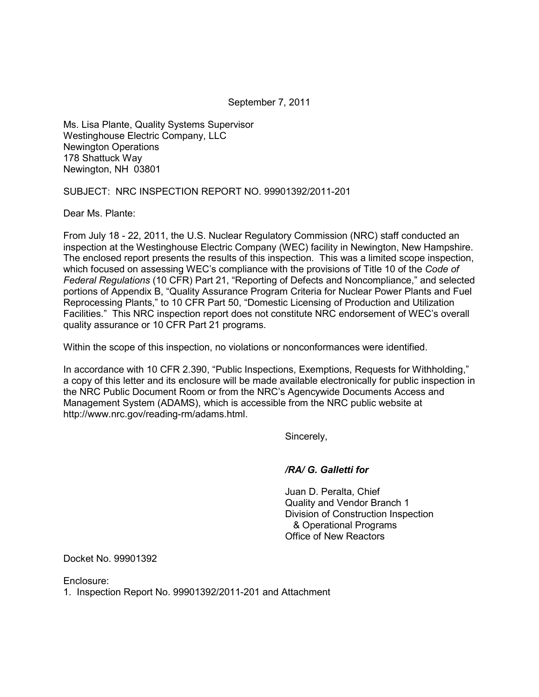September 7, 2011

Ms. Lisa Plante, Quality Systems Supervisor Westinghouse Electric Company, LLC Newington Operations 178 Shattuck Way Newington, NH 03801

SUBJECT: NRC INSPECTION REPORT NO. 99901392/2011-201

Dear Ms. Plante:

From July 18 - 22, 2011, the U.S. Nuclear Regulatory Commission (NRC) staff conducted an inspection at the Westinghouse Electric Company (WEC) facility in Newington, New Hampshire. The enclosed report presents the results of this inspection. This was a limited scope inspection, which focused on assessing WEC's compliance with the provisions of Title 10 of the *Code of Federal Regulations* (10 CFR) Part 21, "Reporting of Defects and Noncompliance," and selected portions of Appendix B, "Quality Assurance Program Criteria for Nuclear Power Plants and Fuel Reprocessing Plants," to 10 CFR Part 50, "Domestic Licensing of Production and Utilization Facilities." This NRC inspection report does not constitute NRC endorsement of WEC's overall quality assurance or 10 CFR Part 21 programs.

Within the scope of this inspection, no violations or nonconformances were identified.

In accordance with 10 CFR 2.390, "Public Inspections, Exemptions, Requests for Withholding," a copy of this letter and its enclosure will be made available electronically for public inspection in the NRC Public Document Room or from the NRC's Agencywide Documents Access and Management System (ADAMS), which is accessible from the NRC public website at http://www.nrc.gov/reading-rm/adams.html.

Sincerely,

#### */RA/ G. Galletti for*

 Juan D. Peralta, Chief Quality and Vendor Branch 1 Division of Construction Inspection & Operational Programs Office of New Reactors

Docket No. 99901392

Enclosure:

1. Inspection Report No. 99901392/2011-201 and Attachment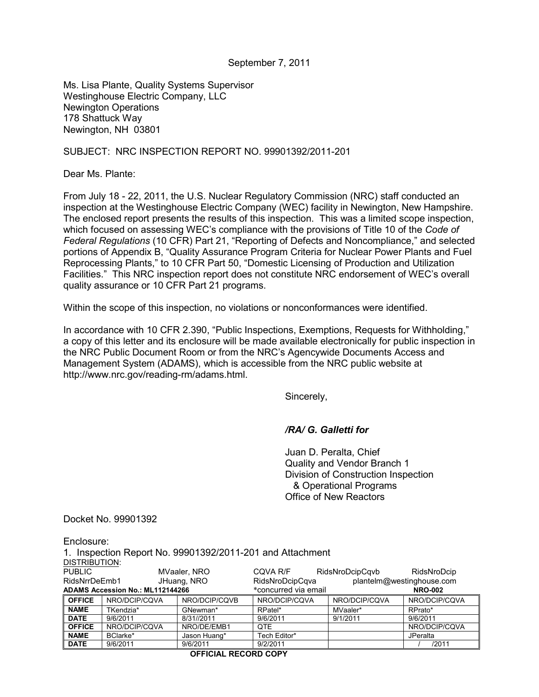#### September 7, 2011

Ms. Lisa Plante, Quality Systems Supervisor Westinghouse Electric Company, LLC Newington Operations 178 Shattuck Way Newington, NH 03801

#### SUBJECT: NRC INSPECTION REPORT NO. 99901392/2011-201

Dear Ms. Plante:

From July 18 - 22, 2011, the U.S. Nuclear Regulatory Commission (NRC) staff conducted an inspection at the Westinghouse Electric Company (WEC) facility in Newington, New Hampshire. The enclosed report presents the results of this inspection. This was a limited scope inspection, which focused on assessing WEC's compliance with the provisions of Title 10 of the *Code of Federal Regulations* (10 CFR) Part 21, "Reporting of Defects and Noncompliance," and selected portions of Appendix B, "Quality Assurance Program Criteria for Nuclear Power Plants and Fuel Reprocessing Plants," to 10 CFR Part 50, "Domestic Licensing of Production and Utilization Facilities." This NRC inspection report does not constitute NRC endorsement of WEC's overall quality assurance or 10 CFR Part 21 programs.

Within the scope of this inspection, no violations or nonconformances were identified.

In accordance with 10 CFR 2.390, "Public Inspections, Exemptions, Requests for Withholding," a copy of this letter and its enclosure will be made available electronically for public inspection in the NRC Public Document Room or from the NRC's Agencywide Documents Access and Management System (ADAMS), which is accessible from the NRC public website at http://www.nrc.gov/reading-rm/adams.html.

Sincerely,

## */RA/ G. Galletti for*

 Juan D. Peralta, Chief Quality and Vendor Branch 1 Division of Construction Inspection & Operational Programs Office of New Reactors

Docket No. 99901392

Enclosure:

1. Inspection Report No. 99901392/2011-201 and Attachment DISTRIBUTION:

| אוטו ו טטוח טוע.                 |               |               |                      |                 |                           |  |  |  |
|----------------------------------|---------------|---------------|----------------------|-----------------|---------------------------|--|--|--|
| <b>PUBLIC</b>                    |               | MVaaler, NRO  | CQVA R/F             | RidsNroDcipCqvb | RidsNroDcip               |  |  |  |
| RidsNrrDeEmb1                    |               | JHuang, NRO   | RidsNroDcipCqva      |                 | plantelm@westinghouse.com |  |  |  |
| ADAMS Accession No.: ML112144266 |               |               | *concurred via email |                 | <b>NRO-002</b>            |  |  |  |
| <b>OFFICE</b>                    | NRO/DCIP/CQVA | NRO/DCIP/CQVB | NRO/DCIP/CQVA        | NRO/DCIP/CQVA   | NRO/DCIP/CQVA             |  |  |  |
| <b>NAME</b>                      | TKendzia*     | GNewman*      | RPatel*              | MVaaler*        | RPrato*                   |  |  |  |
| <b>DATE</b>                      | 9/6/2011      | 8/31//2011    | 9/6/2011             | 9/1/2011        | 9/6/2011                  |  |  |  |
| <b>OFFICE</b>                    | NRO/DCIP/CQVA | NRO/DE/EMB1   | QTE                  |                 | NRO/DCIP/CQVA             |  |  |  |
| <b>NAME</b>                      | BClarke*      | Jason Huang*  | Tech Editor*         |                 | JPeralta                  |  |  |  |
| <b>DATE</b>                      | 9/6/2011      | 9/6/2011      | 9/2/2011             |                 | /2011                     |  |  |  |

 **OFFICIAL RECORD COPY**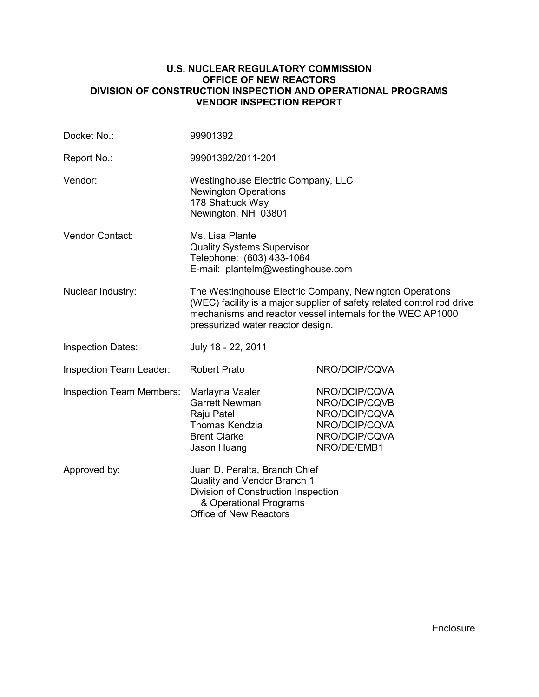#### **U.S. NUCLEAR REGULATORY COMMISSION OFFICE OF NEW REACTORS DIVISION OF CONSTRUCTION INSPECTION AND OPERATIONAL PROGRAMS VENDOR INSPECTION REPORT**

| Docket No.:                                                                                                                                                                    | 99901392                                                                                                                                                                                                                             |                                                                                                  |  |  |  |
|--------------------------------------------------------------------------------------------------------------------------------------------------------------------------------|--------------------------------------------------------------------------------------------------------------------------------------------------------------------------------------------------------------------------------------|--------------------------------------------------------------------------------------------------|--|--|--|
| Report No.:                                                                                                                                                                    | 99901392/2011-201                                                                                                                                                                                                                    |                                                                                                  |  |  |  |
| Vendor:                                                                                                                                                                        | Westinghouse Electric Company, LLC<br><b>Newington Operations</b><br>178 Shattuck Way<br>Newington, NH 03801                                                                                                                         |                                                                                                  |  |  |  |
| <b>Vendor Contact:</b>                                                                                                                                                         | Ms. Lisa Plante<br><b>Quality Systems Supervisor</b><br>Telephone: (603) 433-1064<br>E-mail: plantelm@westinghouse.com                                                                                                               |                                                                                                  |  |  |  |
| Nuclear Industry:                                                                                                                                                              | The Westinghouse Electric Company, Newington Operations<br>(WEC) facility is a major supplier of safety related control rod drive<br>mechanisms and reactor vessel internals for the WEC AP1000<br>pressurized water reactor design. |                                                                                                  |  |  |  |
| <b>Inspection Dates:</b>                                                                                                                                                       | July 18 - 22, 2011                                                                                                                                                                                                                   |                                                                                                  |  |  |  |
| Inspection Team Leader:                                                                                                                                                        | <b>Robert Prato</b>                                                                                                                                                                                                                  | NRO/DCIP/CQVA                                                                                    |  |  |  |
| <b>Inspection Team Members:</b>                                                                                                                                                | Marlayna Vaaler<br><b>Garrett Newman</b><br>Raju Patel<br>Thomas Kendzia<br><b>Brent Clarke</b><br>Jason Huang                                                                                                                       | NRO/DCIP/CQVA<br>NRO/DCIP/CQVB<br>NRO/DCIP/CQVA<br>NRO/DCIP/CQVA<br>NRO/DCIP/CQVA<br>NRO/DE/EMB1 |  |  |  |
| Approved by:<br>Juan D. Peralta, Branch Chief<br>Quality and Vendor Branch 1<br>Division of Construction Inspection<br>& Operational Programs<br><b>Office of New Reactors</b> |                                                                                                                                                                                                                                      |                                                                                                  |  |  |  |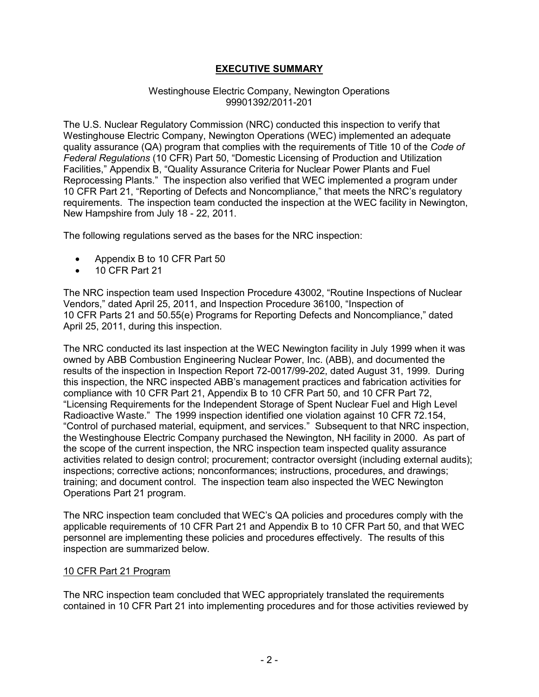# **EXECUTIVE SUMMARY**

#### Westinghouse Electric Company, Newington Operations 99901392/2011-201

The U.S. Nuclear Regulatory Commission (NRC) conducted this inspection to verify that Westinghouse Electric Company, Newington Operations (WEC) implemented an adequate quality assurance (QA) program that complies with the requirements of Title 10 of the *Code of Federal Regulations* (10 CFR) Part 50, "Domestic Licensing of Production and Utilization Facilities," Appendix B, "Quality Assurance Criteria for Nuclear Power Plants and Fuel Reprocessing Plants." The inspection also verified that WEC implemented a program under 10 CFR Part 21, "Reporting of Defects and Noncompliance," that meets the NRC's regulatory requirements. The inspection team conducted the inspection at the WEC facility in Newington, New Hampshire from July 18 - 22, 2011.

The following regulations served as the bases for the NRC inspection:

- Appendix B to 10 CFR Part 50
- $\bullet$  10 CFR Part 21

The NRC inspection team used Inspection Procedure 43002, "Routine Inspections of Nuclear Vendors," dated April 25, 2011, and Inspection Procedure 36100, "Inspection of 10 CFR Parts 21 and 50.55(e) Programs for Reporting Defects and Noncompliance," dated April 25, 2011, during this inspection.

The NRC conducted its last inspection at the WEC Newington facility in July 1999 when it was owned by ABB Combustion Engineering Nuclear Power, Inc. (ABB), and documented the results of the inspection in Inspection Report 72-0017/99-202, dated August 31, 1999. During this inspection, the NRC inspected ABB's management practices and fabrication activities for compliance with 10 CFR Part 21, Appendix B to 10 CFR Part 50, and 10 CFR Part 72, "Licensing Requirements for the Independent Storage of Spent Nuclear Fuel and High Level Radioactive Waste." The 1999 inspection identified one violation against 10 CFR 72.154, "Control of purchased material, equipment, and services." Subsequent to that NRC inspection, the Westinghouse Electric Company purchased the Newington, NH facility in 2000. As part of the scope of the current inspection, the NRC inspection team inspected quality assurance activities related to design control; procurement; contractor oversight (including external audits); inspections; corrective actions; nonconformances; instructions, procedures, and drawings; training; and document control. The inspection team also inspected the WEC Newington Operations Part 21 program.

The NRC inspection team concluded that WEC's QA policies and procedures comply with the applicable requirements of 10 CFR Part 21 and Appendix B to 10 CFR Part 50, and that WEC personnel are implementing these policies and procedures effectively. The results of this inspection are summarized below.

#### 10 CFR Part 21 Program

The NRC inspection team concluded that WEC appropriately translated the requirements contained in 10 CFR Part 21 into implementing procedures and for those activities reviewed by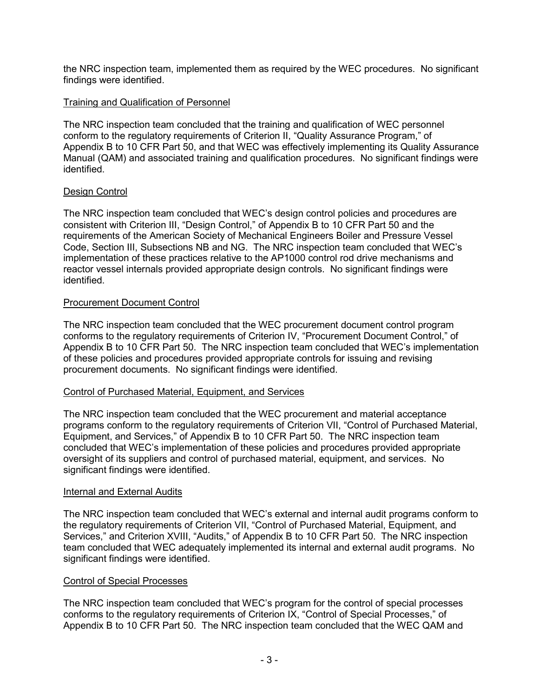the NRC inspection team, implemented them as required by the WEC procedures. No significant findings were identified.

## Training and Qualification of Personnel

The NRC inspection team concluded that the training and qualification of WEC personnel conform to the regulatory requirements of Criterion II, "Quality Assurance Program," of Appendix B to 10 CFR Part 50, and that WEC was effectively implementing its Quality Assurance Manual (QAM) and associated training and qualification procedures. No significant findings were identified.

# Design Control

The NRC inspection team concluded that WEC's design control policies and procedures are consistent with Criterion III, "Design Control," of Appendix B to 10 CFR Part 50 and the requirements of the American Society of Mechanical Engineers Boiler and Pressure Vessel Code, Section III, Subsections NB and NG. The NRC inspection team concluded that WEC's implementation of these practices relative to the AP1000 control rod drive mechanisms and reactor vessel internals provided appropriate design controls. No significant findings were identified.

## Procurement Document Control

The NRC inspection team concluded that the WEC procurement document control program conforms to the regulatory requirements of Criterion IV, "Procurement Document Control," of Appendix B to 10 CFR Part 50. The NRC inspection team concluded that WEC's implementation of these policies and procedures provided appropriate controls for issuing and revising procurement documents. No significant findings were identified.

## Control of Purchased Material, Equipment, and Services

The NRC inspection team concluded that the WEC procurement and material acceptance programs conform to the regulatory requirements of Criterion VII, "Control of Purchased Material, Equipment, and Services," of Appendix B to 10 CFR Part 50. The NRC inspection team concluded that WEC's implementation of these policies and procedures provided appropriate oversight of its suppliers and control of purchased material, equipment, and services. No significant findings were identified.

## Internal and External Audits

The NRC inspection team concluded that WEC's external and internal audit programs conform to the regulatory requirements of Criterion VII, "Control of Purchased Material, Equipment, and Services," and Criterion XVIII, "Audits," of Appendix B to 10 CFR Part 50. The NRC inspection team concluded that WEC adequately implemented its internal and external audit programs. No significant findings were identified.

## Control of Special Processes

The NRC inspection team concluded that WEC's program for the control of special processes conforms to the regulatory requirements of Criterion IX, "Control of Special Processes," of Appendix B to 10 CFR Part 50. The NRC inspection team concluded that the WEC QAM and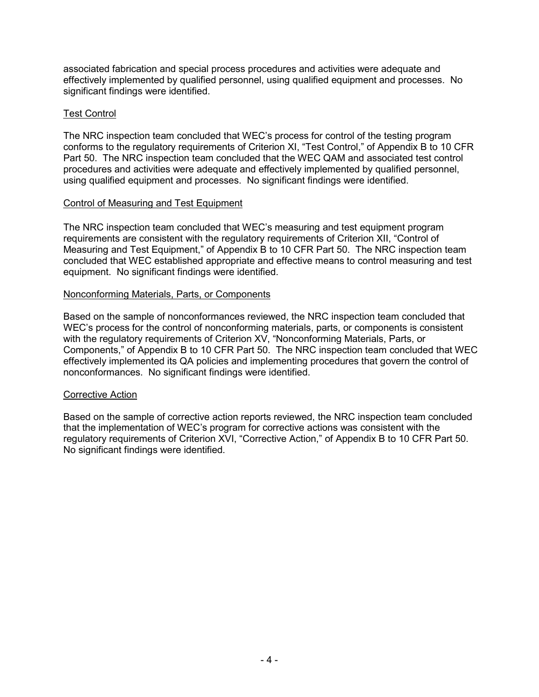associated fabrication and special process procedures and activities were adequate and effectively implemented by qualified personnel, using qualified equipment and processes. No significant findings were identified.

## Test Control

The NRC inspection team concluded that WEC's process for control of the testing program conforms to the regulatory requirements of Criterion XI, "Test Control," of Appendix B to 10 CFR Part 50. The NRC inspection team concluded that the WEC QAM and associated test control procedures and activities were adequate and effectively implemented by qualified personnel, using qualified equipment and processes. No significant findings were identified.

#### Control of Measuring and Test Equipment

The NRC inspection team concluded that WEC's measuring and test equipment program requirements are consistent with the regulatory requirements of Criterion XII, "Control of Measuring and Test Equipment," of Appendix B to 10 CFR Part 50. The NRC inspection team concluded that WEC established appropriate and effective means to control measuring and test equipment. No significant findings were identified.

#### Nonconforming Materials, Parts, or Components

Based on the sample of nonconformances reviewed, the NRC inspection team concluded that WEC's process for the control of nonconforming materials, parts, or components is consistent with the regulatory requirements of Criterion XV, "Nonconforming Materials, Parts, or Components," of Appendix B to 10 CFR Part 50. The NRC inspection team concluded that WEC effectively implemented its QA policies and implementing procedures that govern the control of nonconformances. No significant findings were identified.

#### Corrective Action

Based on the sample of corrective action reports reviewed, the NRC inspection team concluded that the implementation of WEC's program for corrective actions was consistent with the regulatory requirements of Criterion XVI, "Corrective Action," of Appendix B to 10 CFR Part 50. No significant findings were identified.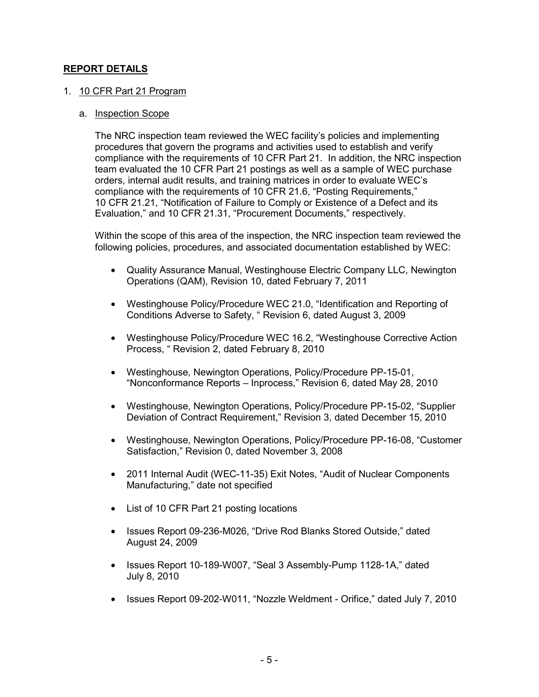# **REPORT DETAILS**

#### 1. 10 CFR Part 21 Program

#### a. Inspection Scope

The NRC inspection team reviewed the WEC facility's policies and implementing procedures that govern the programs and activities used to establish and verify compliance with the requirements of 10 CFR Part 21. In addition, the NRC inspection team evaluated the 10 CFR Part 21 postings as well as a sample of WEC purchase orders, internal audit results, and training matrices in order to evaluate WEC's compliance with the requirements of 10 CFR 21.6, "Posting Requirements," 10 CFR 21.21, "Notification of Failure to Comply or Existence of a Defect and its Evaluation," and 10 CFR 21.31, "Procurement Documents," respectively.

Within the scope of this area of the inspection, the NRC inspection team reviewed the following policies, procedures, and associated documentation established by WEC:

- Quality Assurance Manual, Westinghouse Electric Company LLC, Newington Operations (QAM), Revision 10, dated February 7, 2011
- Westinghouse Policy/Procedure WEC 21.0, "Identification and Reporting of Conditions Adverse to Safety, " Revision 6, dated August 3, 2009
- Westinghouse Policy/Procedure WEC 16.2, "Westinghouse Corrective Action Process, " Revision 2, dated February 8, 2010
- Westinghouse, Newington Operations, Policy/Procedure PP-15-01, "Nonconformance Reports – Inprocess," Revision 6, dated May 28, 2010
- Westinghouse, Newington Operations, Policy/Procedure PP-15-02, "Supplier Deviation of Contract Requirement," Revision 3, dated December 15, 2010
- Westinghouse, Newington Operations, Policy/Procedure PP-16-08, "Customer Satisfaction," Revision 0, dated November 3, 2008
- 2011 Internal Audit (WEC-11-35) Exit Notes, "Audit of Nuclear Components Manufacturing," date not specified
- List of 10 CFR Part 21 posting locations
- Issues Report 09-236-M026, "Drive Rod Blanks Stored Outside," dated August 24, 2009
- Issues Report 10-189-W007, "Seal 3 Assembly-Pump 1128-1A," dated July 8, 2010
- Issues Report 09-202-W011, "Nozzle Weldment Orifice," dated July 7, 2010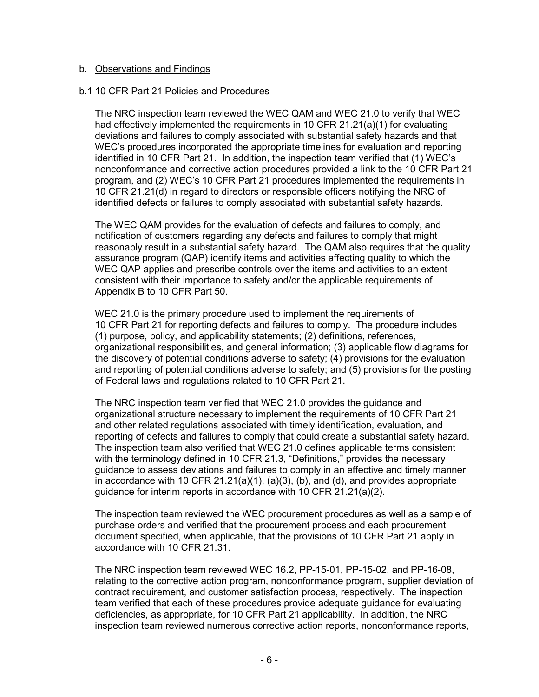#### b. Observations and Findings

#### b.1 10 CFR Part 21 Policies and Procedures

The NRC inspection team reviewed the WEC QAM and WEC 21.0 to verify that WEC had effectively implemented the requirements in 10 CFR 21.21(a)(1) for evaluating deviations and failures to comply associated with substantial safety hazards and that WEC's procedures incorporated the appropriate timelines for evaluation and reporting identified in 10 CFR Part 21. In addition, the inspection team verified that (1) WEC's nonconformance and corrective action procedures provided a link to the 10 CFR Part 21 program, and (2) WEC's 10 CFR Part 21 procedures implemented the requirements in 10 CFR 21.21(d) in regard to directors or responsible officers notifying the NRC of identified defects or failures to comply associated with substantial safety hazards.

The WEC QAM provides for the evaluation of defects and failures to comply, and notification of customers regarding any defects and failures to comply that might reasonably result in a substantial safety hazard. The QAM also requires that the quality assurance program (QAP) identify items and activities affecting quality to which the WEC QAP applies and prescribe controls over the items and activities to an extent consistent with their importance to safety and/or the applicable requirements of Appendix B to 10 CFR Part 50.

WEC 21.0 is the primary procedure used to implement the requirements of 10 CFR Part 21 for reporting defects and failures to comply. The procedure includes (1) purpose, policy, and applicability statements; (2) definitions, references, organizational responsibilities, and general information; (3) applicable flow diagrams for the discovery of potential conditions adverse to safety; (4) provisions for the evaluation and reporting of potential conditions adverse to safety; and (5) provisions for the posting of Federal laws and regulations related to 10 CFR Part 21.

The NRC inspection team verified that WEC 21.0 provides the guidance and organizational structure necessary to implement the requirements of 10 CFR Part 21 and other related regulations associated with timely identification, evaluation, and reporting of defects and failures to comply that could create a substantial safety hazard. The inspection team also verified that WEC 21.0 defines applicable terms consistent with the terminology defined in 10 CFR 21.3, "Definitions," provides the necessary guidance to assess deviations and failures to comply in an effective and timely manner in accordance with 10 CFR 21.21(a)(1), (a)(3), (b), and (d), and provides appropriate guidance for interim reports in accordance with 10 CFR 21.21(a)(2).

The inspection team reviewed the WEC procurement procedures as well as a sample of purchase orders and verified that the procurement process and each procurement document specified, when applicable, that the provisions of 10 CFR Part 21 apply in accordance with 10 CFR 21.31.

The NRC inspection team reviewed WEC 16.2, PP-15-01, PP-15-02, and PP-16-08, relating to the corrective action program, nonconformance program, supplier deviation of contract requirement, and customer satisfaction process, respectively. The inspection team verified that each of these procedures provide adequate guidance for evaluating deficiencies, as appropriate, for 10 CFR Part 21 applicability. In addition, the NRC inspection team reviewed numerous corrective action reports, nonconformance reports,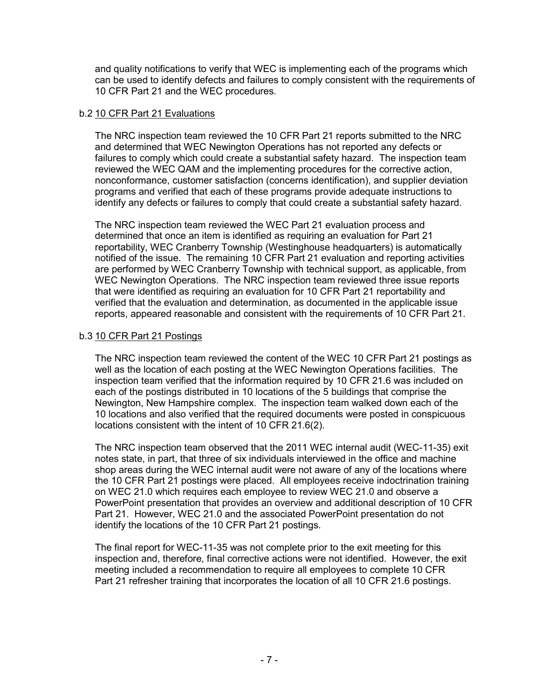and quality notifications to verify that WEC is implementing each of the programs which can be used to identify defects and failures to comply consistent with the requirements of 10 CFR Part 21 and the WEC procedures.

## b.2 10 CFR Part 21 Evaluations

The NRC inspection team reviewed the 10 CFR Part 21 reports submitted to the NRC and determined that WEC Newington Operations has not reported any defects or failures to comply which could create a substantial safety hazard. The inspection team reviewed the WEC QAM and the implementing procedures for the corrective action, nonconformance, customer satisfaction (concerns identification), and supplier deviation programs and verified that each of these programs provide adequate instructions to identify any defects or failures to comply that could create a substantial safety hazard.

The NRC inspection team reviewed the WEC Part 21 evaluation process and determined that once an item is identified as requiring an evaluation for Part 21 reportability, WEC Cranberry Township (Westinghouse headquarters) is automatically notified of the issue. The remaining 10 CFR Part 21 evaluation and reporting activities are performed by WEC Cranberry Township with technical support, as applicable, from WEC Newington Operations. The NRC inspection team reviewed three issue reports that were identified as requiring an evaluation for 10 CFR Part 21 reportability and verified that the evaluation and determination, as documented in the applicable issue reports, appeared reasonable and consistent with the requirements of 10 CFR Part 21.

# b.3 10 CFR Part 21 Postings

The NRC inspection team reviewed the content of the WEC 10 CFR Part 21 postings as well as the location of each posting at the WEC Newington Operations facilities. The inspection team verified that the information required by 10 CFR 21.6 was included on each of the postings distributed in 10 locations of the 5 buildings that comprise the Newington, New Hampshire complex. The inspection team walked down each of the 10 locations and also verified that the required documents were posted in conspicuous locations consistent with the intent of 10 CFR 21.6(2).

The NRC inspection team observed that the 2011 WEC internal audit (WEC-11-35) exit notes state, in part, that three of six individuals interviewed in the office and machine shop areas during the WEC internal audit were not aware of any of the locations where the 10 CFR Part 21 postings were placed. All employees receive indoctrination training on WEC 21.0 which requires each employee to review WEC 21.0 and observe a PowerPoint presentation that provides an overview and additional description of 10 CFR Part 21. However, WEC 21.0 and the associated PowerPoint presentation do not identify the locations of the 10 CFR Part 21 postings.

The final report for WEC-11-35 was not complete prior to the exit meeting for this inspection and, therefore, final corrective actions were not identified. However, the exit meeting included a recommendation to require all employees to complete 10 CFR Part 21 refresher training that incorporates the location of all 10 CFR 21.6 postings.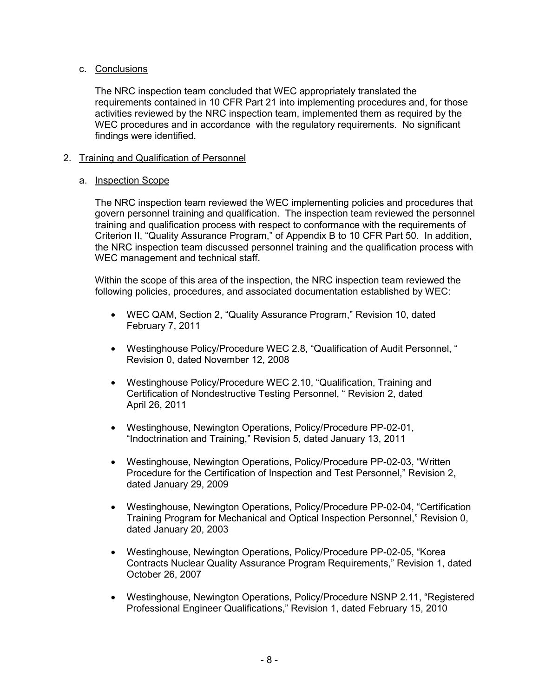# c. Conclusions

The NRC inspection team concluded that WEC appropriately translated the requirements contained in 10 CFR Part 21 into implementing procedures and, for those activities reviewed by the NRC inspection team, implemented them as required by the WEC procedures and in accordance with the regulatory requirements. No significant findings were identified.

# 2. Training and Qualification of Personnel

## a. Inspection Scope

The NRC inspection team reviewed the WEC implementing policies and procedures that govern personnel training and qualification. The inspection team reviewed the personnel training and qualification process with respect to conformance with the requirements of Criterion II, "Quality Assurance Program," of Appendix B to 10 CFR Part 50. In addition, the NRC inspection team discussed personnel training and the qualification process with WEC management and technical staff.

Within the scope of this area of the inspection, the NRC inspection team reviewed the following policies, procedures, and associated documentation established by WEC:

- WEC QAM, Section 2, "Quality Assurance Program," Revision 10, dated February 7, 2011
- Westinghouse Policy/Procedure WEC 2.8, "Qualification of Audit Personnel, " Revision 0, dated November 12, 2008
- Westinghouse Policy/Procedure WEC 2.10, "Qualification, Training and Certification of Nondestructive Testing Personnel, " Revision 2, dated April 26, 2011
- Westinghouse, Newington Operations, Policy/Procedure PP-02-01, "Indoctrination and Training," Revision 5, dated January 13, 2011
- Westinghouse, Newington Operations, Policy/Procedure PP-02-03, "Written Procedure for the Certification of Inspection and Test Personnel," Revision 2, dated January 29, 2009
- Westinghouse, Newington Operations, Policy/Procedure PP-02-04, "Certification Training Program for Mechanical and Optical Inspection Personnel," Revision 0, dated January 20, 2003
- Westinghouse, Newington Operations, Policy/Procedure PP-02-05, "Korea Contracts Nuclear Quality Assurance Program Requirements," Revision 1, dated October 26, 2007
- Westinghouse, Newington Operations, Policy/Procedure NSNP 2.11, "Registered Professional Engineer Qualifications," Revision 1, dated February 15, 2010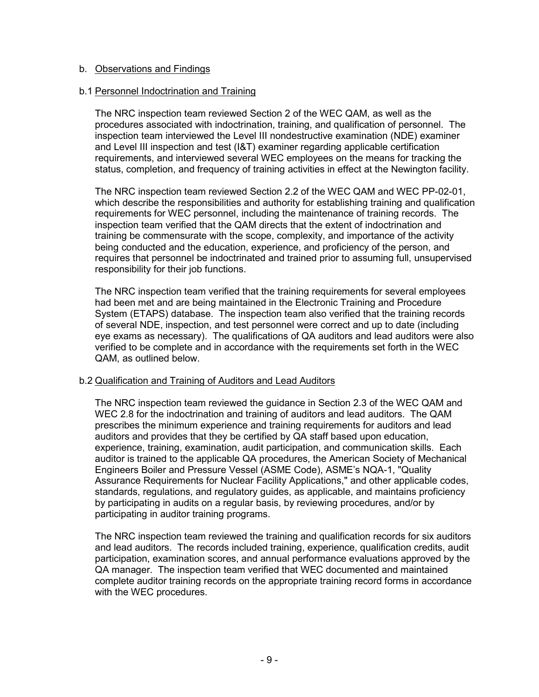## b. Observations and Findings

#### b.1 Personnel Indoctrination and Training

The NRC inspection team reviewed Section 2 of the WEC QAM, as well as the procedures associated with indoctrination, training, and qualification of personnel. The inspection team interviewed the Level III nondestructive examination (NDE) examiner and Level III inspection and test (I&T) examiner regarding applicable certification requirements, and interviewed several WEC employees on the means for tracking the status, completion, and frequency of training activities in effect at the Newington facility.

The NRC inspection team reviewed Section 2.2 of the WEC QAM and WEC PP-02-01, which describe the responsibilities and authority for establishing training and qualification requirements for WEC personnel, including the maintenance of training records. The inspection team verified that the QAM directs that the extent of indoctrination and training be commensurate with the scope, complexity, and importance of the activity being conducted and the education, experience, and proficiency of the person, and requires that personnel be indoctrinated and trained prior to assuming full, unsupervised responsibility for their job functions.

The NRC inspection team verified that the training requirements for several employees had been met and are being maintained in the Electronic Training and Procedure System (ETAPS) database. The inspection team also verified that the training records of several NDE, inspection, and test personnel were correct and up to date (including eye exams as necessary). The qualifications of QA auditors and lead auditors were also verified to be complete and in accordance with the requirements set forth in the WEC QAM, as outlined below.

## b.2 Qualification and Training of Auditors and Lead Auditors

The NRC inspection team reviewed the guidance in Section 2.3 of the WEC QAM and WEC 2.8 for the indoctrination and training of auditors and lead auditors. The QAM prescribes the minimum experience and training requirements for auditors and lead auditors and provides that they be certified by QA staff based upon education, experience, training, examination, audit participation, and communication skills. Each auditor is trained to the applicable QA procedures, the American Society of Mechanical Engineers Boiler and Pressure Vessel (ASME Code), ASME's NQA-1, "Quality Assurance Requirements for Nuclear Facility Applications," and other applicable codes, standards, regulations, and regulatory guides, as applicable, and maintains proficiency by participating in audits on a regular basis, by reviewing procedures, and/or by participating in auditor training programs.

The NRC inspection team reviewed the training and qualification records for six auditors and lead auditors. The records included training, experience, qualification credits, audit participation, examination scores, and annual performance evaluations approved by the QA manager. The inspection team verified that WEC documented and maintained complete auditor training records on the appropriate training record forms in accordance with the WEC procedures.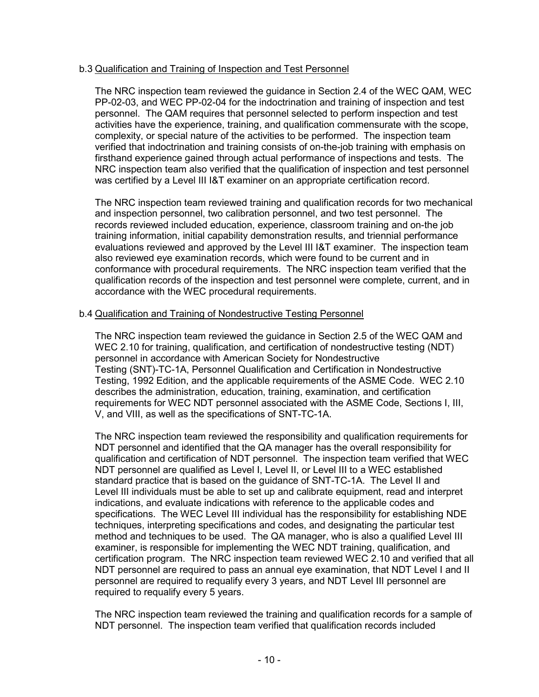## b.3 Qualification and Training of Inspection and Test Personnel

The NRC inspection team reviewed the guidance in Section 2.4 of the WEC QAM, WEC PP-02-03, and WEC PP-02-04 for the indoctrination and training of inspection and test personnel. The QAM requires that personnel selected to perform inspection and test activities have the experience, training, and qualification commensurate with the scope, complexity, or special nature of the activities to be performed. The inspection team verified that indoctrination and training consists of on-the-job training with emphasis on firsthand experience gained through actual performance of inspections and tests. The NRC inspection team also verified that the qualification of inspection and test personnel was certified by a Level III I&T examiner on an appropriate certification record.

The NRC inspection team reviewed training and qualification records for two mechanical and inspection personnel, two calibration personnel, and two test personnel. The records reviewed included education, experience, classroom training and on-the job training information, initial capability demonstration results, and triennial performance evaluations reviewed and approved by the Level III I&T examiner. The inspection team also reviewed eye examination records, which were found to be current and in conformance with procedural requirements. The NRC inspection team verified that the qualification records of the inspection and test personnel were complete, current, and in accordance with the WEC procedural requirements.

#### b.4 Qualification and Training of Nondestructive Testing Personnel

The NRC inspection team reviewed the guidance in Section 2.5 of the WEC QAM and WEC 2.10 for training, qualification, and certification of nondestructive testing (NDT) personnel in accordance with American Society for Nondestructive Testing (SNT)-TC-1A, Personnel Qualification and Certification in Nondestructive Testing, 1992 Edition, and the applicable requirements of the ASME Code. WEC 2.10 describes the administration, education, training, examination, and certification requirements for WEC NDT personnel associated with the ASME Code, Sections I, III, V, and VIII, as well as the specifications of SNT-TC-1A.

The NRC inspection team reviewed the responsibility and qualification requirements for NDT personnel and identified that the QA manager has the overall responsibility for qualification and certification of NDT personnel. The inspection team verified that WEC NDT personnel are qualified as Level I, Level II, or Level III to a WEC established standard practice that is based on the guidance of SNT-TC-1A. The Level II and Level III individuals must be able to set up and calibrate equipment, read and interpret indications, and evaluate indications with reference to the applicable codes and specifications. The WEC Level III individual has the responsibility for establishing NDE techniques, interpreting specifications and codes, and designating the particular test method and techniques to be used. The QA manager, who is also a qualified Level III examiner, is responsible for implementing the WEC NDT training, qualification, and certification program. The NRC inspection team reviewed WEC 2.10 and verified that all NDT personnel are required to pass an annual eye examination, that NDT Level I and II personnel are required to requalify every 3 years, and NDT Level III personnel are required to requalify every 5 years.

The NRC inspection team reviewed the training and qualification records for a sample of NDT personnel. The inspection team verified that qualification records included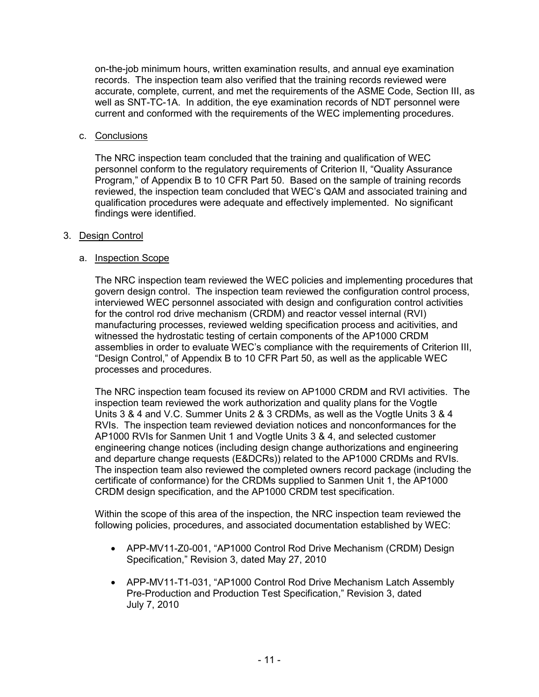on-the-job minimum hours, written examination results, and annual eye examination records. The inspection team also verified that the training records reviewed were accurate, complete, current, and met the requirements of the ASME Code, Section III, as well as SNT-TC-1A. In addition, the eye examination records of NDT personnel were current and conformed with the requirements of the WEC implementing procedures.

## c. Conclusions

The NRC inspection team concluded that the training and qualification of WEC personnel conform to the regulatory requirements of Criterion II, "Quality Assurance Program," of Appendix B to 10 CFR Part 50. Based on the sample of training records reviewed, the inspection team concluded that WEC's QAM and associated training and qualification procedures were adequate and effectively implemented. No significant findings were identified.

#### 3. Design Control

## a. Inspection Scope

The NRC inspection team reviewed the WEC policies and implementing procedures that govern design control. The inspection team reviewed the configuration control process, interviewed WEC personnel associated with design and configuration control activities for the control rod drive mechanism (CRDM) and reactor vessel internal (RVI) manufacturing processes, reviewed welding specification process and acitivities, and witnessed the hydrostatic testing of certain components of the AP1000 CRDM assemblies in order to evaluate WEC's compliance with the requirements of Criterion III, "Design Control," of Appendix B to 10 CFR Part 50, as well as the applicable WEC processes and procedures.

The NRC inspection team focused its review on AP1000 CRDM and RVI activities. The inspection team reviewed the work authorization and quality plans for the Vogtle Units 3 & 4 and V.C. Summer Units 2 & 3 CRDMs, as well as the Vogtle Units 3 & 4 RVIs. The inspection team reviewed deviation notices and nonconformances for the AP1000 RVIs for Sanmen Unit 1 and Vogtle Units 3 & 4, and selected customer engineering change notices (including design change authorizations and engineering and departure change requests (E&DCRs)) related to the AP1000 CRDMs and RVIs. The inspection team also reviewed the completed owners record package (including the certificate of conformance) for the CRDMs supplied to Sanmen Unit 1, the AP1000 CRDM design specification, and the AP1000 CRDM test specification.

Within the scope of this area of the inspection, the NRC inspection team reviewed the following policies, procedures, and associated documentation established by WEC:

- APP-MV11-Z0-001, "AP1000 Control Rod Drive Mechanism (CRDM) Design Specification," Revision 3, dated May 27, 2010
- APP-MV11-T1-031, "AP1000 Control Rod Drive Mechanism Latch Assembly Pre-Production and Production Test Specification," Revision 3, dated July 7, 2010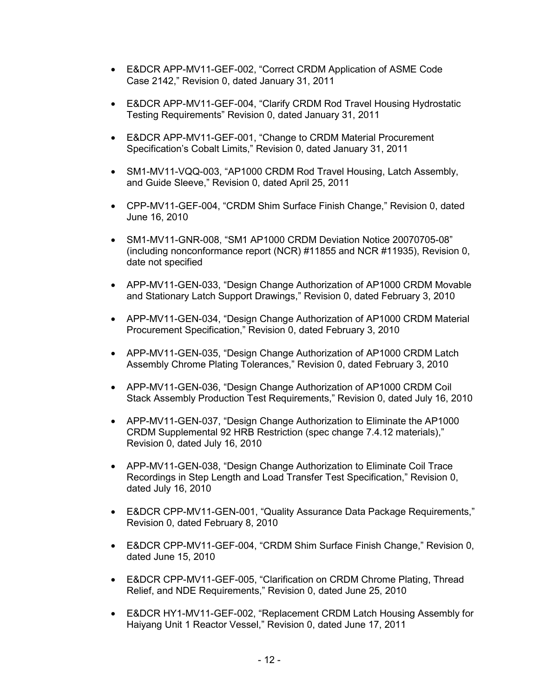- E&DCR APP-MV11-GEF-002, "Correct CRDM Application of ASME Code Case 2142," Revision 0, dated January 31, 2011
- E&DCR APP-MV11-GEF-004, "Clarify CRDM Rod Travel Housing Hydrostatic Testing Requirements" Revision 0, dated January 31, 2011
- E&DCR APP-MV11-GEF-001, "Change to CRDM Material Procurement Specification's Cobalt Limits," Revision 0, dated January 31, 2011
- SM1-MV11-VQQ-003, "AP1000 CRDM Rod Travel Housing, Latch Assembly, and Guide Sleeve," Revision 0, dated April 25, 2011
- CPP-MV11-GEF-004, "CRDM Shim Surface Finish Change," Revision 0, dated June 16, 2010
- SM1-MV11-GNR-008, "SM1 AP1000 CRDM Deviation Notice 20070705-08" (including nonconformance report (NCR) #11855 and NCR #11935), Revision 0, date not specified
- APP-MV11-GEN-033, "Design Change Authorization of AP1000 CRDM Movable and Stationary Latch Support Drawings," Revision 0, dated February 3, 2010
- APP-MV11-GEN-034, "Design Change Authorization of AP1000 CRDM Material Procurement Specification," Revision 0, dated February 3, 2010
- APP-MV11-GEN-035, "Design Change Authorization of AP1000 CRDM Latch Assembly Chrome Plating Tolerances," Revision 0, dated February 3, 2010
- APP-MV11-GEN-036, "Design Change Authorization of AP1000 CRDM Coil Stack Assembly Production Test Requirements," Revision 0, dated July 16, 2010
- APP-MV11-GEN-037, "Design Change Authorization to Eliminate the AP1000 CRDM Supplemental 92 HRB Restriction (spec change 7.4.12 materials)," Revision 0, dated July 16, 2010
- APP-MV11-GEN-038, "Design Change Authorization to Eliminate Coil Trace Recordings in Step Length and Load Transfer Test Specification," Revision 0, dated July 16, 2010
- E&DCR CPP-MV11-GEN-001, "Quality Assurance Data Package Requirements," Revision 0, dated February 8, 2010
- E&DCR CPP-MV11-GEF-004, "CRDM Shim Surface Finish Change," Revision 0, dated June 15, 2010
- E&DCR CPP-MV11-GEF-005, "Clarification on CRDM Chrome Plating, Thread Relief, and NDE Requirements," Revision 0, dated June 25, 2010
- E&DCR HY1-MV11-GEF-002, "Replacement CRDM Latch Housing Assembly for Haiyang Unit 1 Reactor Vessel," Revision 0, dated June 17, 2011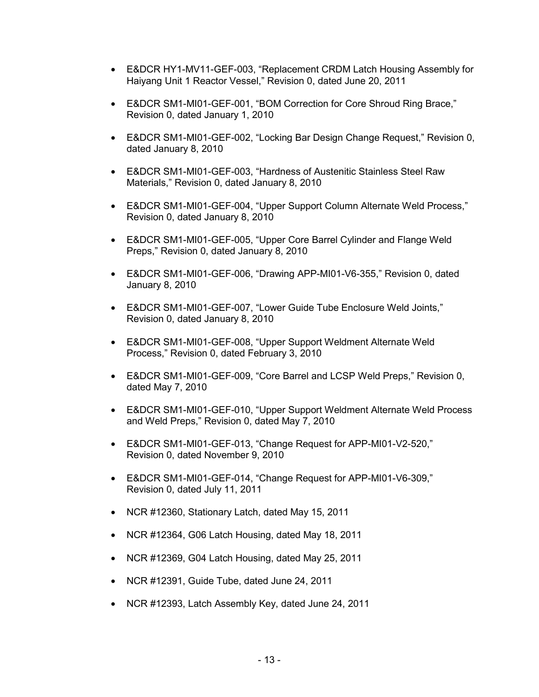- E&DCR HY1-MV11-GEF-003, "Replacement CRDM Latch Housing Assembly for Haiyang Unit 1 Reactor Vessel," Revision 0, dated June 20, 2011
- E&DCR SM1-MI01-GEF-001, "BOM Correction for Core Shroud Ring Brace," Revision 0, dated January 1, 2010
- E&DCR SM1-MI01-GEF-002, "Locking Bar Design Change Request," Revision 0, dated January 8, 2010
- E&DCR SM1-MI01-GEF-003, "Hardness of Austenitic Stainless Steel Raw Materials," Revision 0, dated January 8, 2010
- E&DCR SM1-MI01-GEF-004, "Upper Support Column Alternate Weld Process," Revision 0, dated January 8, 2010
- E&DCR SM1-MI01-GEF-005, "Upper Core Barrel Cylinder and Flange Weld Preps," Revision 0, dated January 8, 2010
- E&DCR SM1-MI01-GEF-006, "Drawing APP-MI01-V6-355," Revision 0, dated January 8, 2010
- E&DCR SM1-MI01-GEF-007, "Lower Guide Tube Enclosure Weld Joints," Revision 0, dated January 8, 2010
- E&DCR SM1-MI01-GEF-008, "Upper Support Weldment Alternate Weld Process," Revision 0, dated February 3, 2010
- E&DCR SM1-MI01-GEF-009, "Core Barrel and LCSP Weld Preps," Revision 0, dated May 7, 2010
- E&DCR SM1-MI01-GEF-010, "Upper Support Weldment Alternate Weld Process and Weld Preps," Revision 0, dated May 7, 2010
- E&DCR SM1-MI01-GEF-013, "Change Request for APP-MI01-V2-520," Revision 0, dated November 9, 2010
- E&DCR SM1-MI01-GEF-014, "Change Request for APP-MI01-V6-309," Revision 0, dated July 11, 2011
- NCR #12360, Stationary Latch, dated May 15, 2011
- NCR #12364, G06 Latch Housing, dated May 18, 2011
- NCR #12369, G04 Latch Housing, dated May 25, 2011
- NCR #12391, Guide Tube, dated June 24, 2011
- NCR #12393, Latch Assembly Key, dated June 24, 2011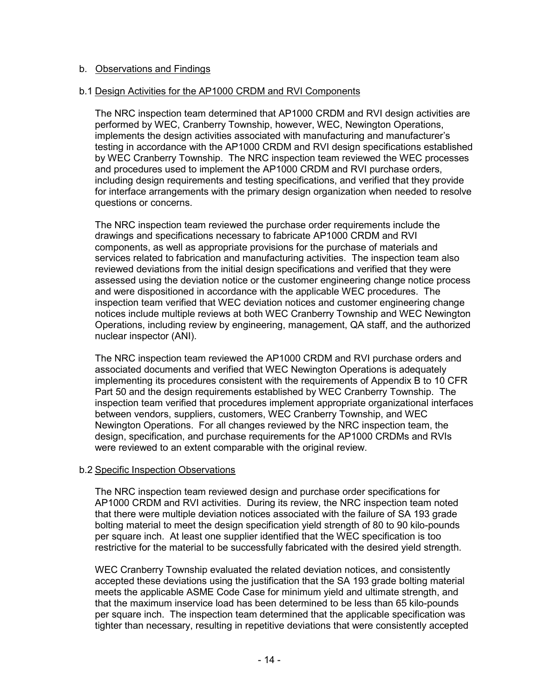## b. Observations and Findings

#### b.1 Design Activities for the AP1000 CRDM and RVI Components

The NRC inspection team determined that AP1000 CRDM and RVI design activities are performed by WEC, Cranberry Township, however, WEC, Newington Operations, implements the design activities associated with manufacturing and manufacturer's testing in accordance with the AP1000 CRDM and RVI design specifications established by WEC Cranberry Township. The NRC inspection team reviewed the WEC processes and procedures used to implement the AP1000 CRDM and RVI purchase orders, including design requirements and testing specifications, and verified that they provide for interface arrangements with the primary design organization when needed to resolve questions or concerns.

The NRC inspection team reviewed the purchase order requirements include the drawings and specifications necessary to fabricate AP1000 CRDM and RVI components, as well as appropriate provisions for the purchase of materials and services related to fabrication and manufacturing activities. The inspection team also reviewed deviations from the initial design specifications and verified that they were assessed using the deviation notice or the customer engineering change notice process and were dispositioned in accordance with the applicable WEC procedures. The inspection team verified that WEC deviation notices and customer engineering change notices include multiple reviews at both WEC Cranberry Township and WEC Newington Operations, including review by engineering, management, QA staff, and the authorized nuclear inspector (ANI).

The NRC inspection team reviewed the AP1000 CRDM and RVI purchase orders and associated documents and verified that WEC Newington Operations is adequately implementing its procedures consistent with the requirements of Appendix B to 10 CFR Part 50 and the design requirements established by WEC Cranberry Township. The inspection team verified that procedures implement appropriate organizational interfaces between vendors, suppliers, customers, WEC Cranberry Township, and WEC Newington Operations. For all changes reviewed by the NRC inspection team, the design, specification, and purchase requirements for the AP1000 CRDMs and RVIs were reviewed to an extent comparable with the original review.

#### b.2 Specific Inspection Observations

The NRC inspection team reviewed design and purchase order specifications for AP1000 CRDM and RVI activities. During its review, the NRC inspection team noted that there were multiple deviation notices associated with the failure of SA 193 grade bolting material to meet the design specification yield strength of 80 to 90 kilo-pounds per square inch. At least one supplier identified that the WEC specification is too restrictive for the material to be successfully fabricated with the desired yield strength.

WEC Cranberry Township evaluated the related deviation notices, and consistently accepted these deviations using the justification that the SA 193 grade bolting material meets the applicable ASME Code Case for minimum yield and ultimate strength, and that the maximum inservice load has been determined to be less than 65 kilo-pounds per square inch. The inspection team determined that the applicable specification was tighter than necessary, resulting in repetitive deviations that were consistently accepted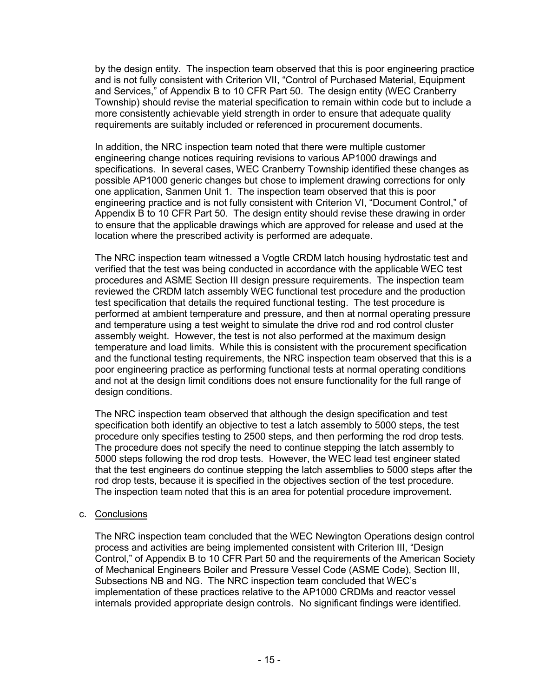by the design entity. The inspection team observed that this is poor engineering practice and is not fully consistent with Criterion VII, "Control of Purchased Material, Equipment and Services," of Appendix B to 10 CFR Part 50. The design entity (WEC Cranberry Township) should revise the material specification to remain within code but to include a more consistently achievable yield strength in order to ensure that adequate quality requirements are suitably included or referenced in procurement documents.

In addition, the NRC inspection team noted that there were multiple customer engineering change notices requiring revisions to various AP1000 drawings and specifications. In several cases, WEC Cranberry Township identified these changes as possible AP1000 generic changes but chose to implement drawing corrections for only one application, Sanmen Unit 1. The inspection team observed that this is poor engineering practice and is not fully consistent with Criterion VI, "Document Control," of Appendix B to 10 CFR Part 50. The design entity should revise these drawing in order to ensure that the applicable drawings which are approved for release and used at the location where the prescribed activity is performed are adequate.

The NRC inspection team witnessed a Vogtle CRDM latch housing hydrostatic test and verified that the test was being conducted in accordance with the applicable WEC test procedures and ASME Section III design pressure requirements. The inspection team reviewed the CRDM latch assembly WEC functional test procedure and the production test specification that details the required functional testing. The test procedure is performed at ambient temperature and pressure, and then at normal operating pressure and temperature using a test weight to simulate the drive rod and rod control cluster assembly weight. However, the test is not also performed at the maximum design temperature and load limits. While this is consistent with the procurement specification and the functional testing requirements, the NRC inspection team observed that this is a poor engineering practice as performing functional tests at normal operating conditions and not at the design limit conditions does not ensure functionality for the full range of design conditions.

The NRC inspection team observed that although the design specification and test specification both identify an objective to test a latch assembly to 5000 steps, the test procedure only specifies testing to 2500 steps, and then performing the rod drop tests. The procedure does not specify the need to continue stepping the latch assembly to 5000 steps following the rod drop tests. However, the WEC lead test engineer stated that the test engineers do continue stepping the latch assemblies to 5000 steps after the rod drop tests, because it is specified in the objectives section of the test procedure. The inspection team noted that this is an area for potential procedure improvement.

## c. Conclusions

The NRC inspection team concluded that the WEC Newington Operations design control process and activities are being implemented consistent with Criterion III, "Design Control," of Appendix B to 10 CFR Part 50 and the requirements of the American Society of Mechanical Engineers Boiler and Pressure Vessel Code (ASME Code), Section III, Subsections NB and NG. The NRC inspection team concluded that WEC's implementation of these practices relative to the AP1000 CRDMs and reactor vessel internals provided appropriate design controls. No significant findings were identified.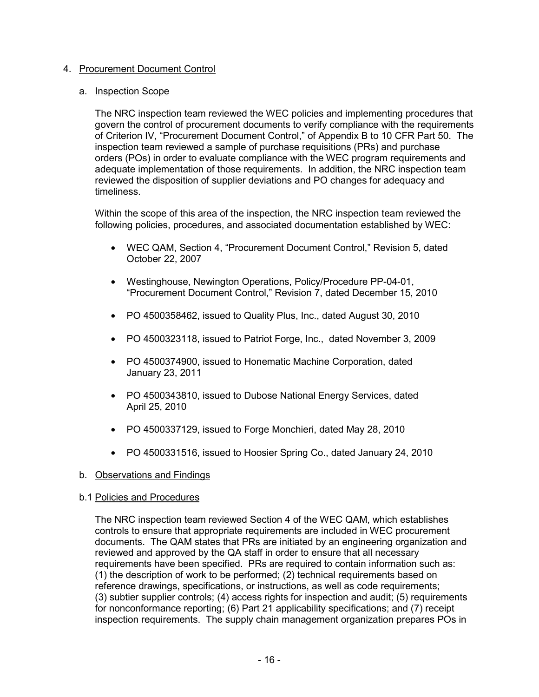# 4. Procurement Document Control

## a. Inspection Scope

The NRC inspection team reviewed the WEC policies and implementing procedures that govern the control of procurement documents to verify compliance with the requirements of Criterion IV, "Procurement Document Control," of Appendix B to 10 CFR Part 50. The inspection team reviewed a sample of purchase requisitions (PRs) and purchase orders (POs) in order to evaluate compliance with the WEC program requirements and adequate implementation of those requirements. In addition, the NRC inspection team reviewed the disposition of supplier deviations and PO changes for adequacy and timeliness.

Within the scope of this area of the inspection, the NRC inspection team reviewed the following policies, procedures, and associated documentation established by WEC:

- WEC QAM, Section 4, "Procurement Document Control," Revision 5, dated October 22, 2007
- Westinghouse, Newington Operations, Policy/Procedure PP-04-01, "Procurement Document Control," Revision 7, dated December 15, 2010
- PO 4500358462, issued to Quality Plus, Inc., dated August 30, 2010
- PO 4500323118, issued to Patriot Forge, Inc., dated November 3, 2009
- PO 4500374900, issued to Honematic Machine Corporation, dated January 23, 2011
- PO 4500343810, issued to Dubose National Energy Services, dated April 25, 2010
- PO 4500337129, issued to Forge Monchieri, dated May 28, 2010
- PO 4500331516, issued to Hoosier Spring Co., dated January 24, 2010

## b. Observations and Findings

## b.1 Policies and Procedures

The NRC inspection team reviewed Section 4 of the WEC QAM, which establishes controls to ensure that appropriate requirements are included in WEC procurement documents. The QAM states that PRs are initiated by an engineering organization and reviewed and approved by the QA staff in order to ensure that all necessary requirements have been specified. PRs are required to contain information such as: (1) the description of work to be performed; (2) technical requirements based on reference drawings, specifications, or instructions, as well as code requirements; (3) subtier supplier controls; (4) access rights for inspection and audit; (5) requirements for nonconformance reporting; (6) Part 21 applicability specifications; and (7) receipt inspection requirements. The supply chain management organization prepares POs in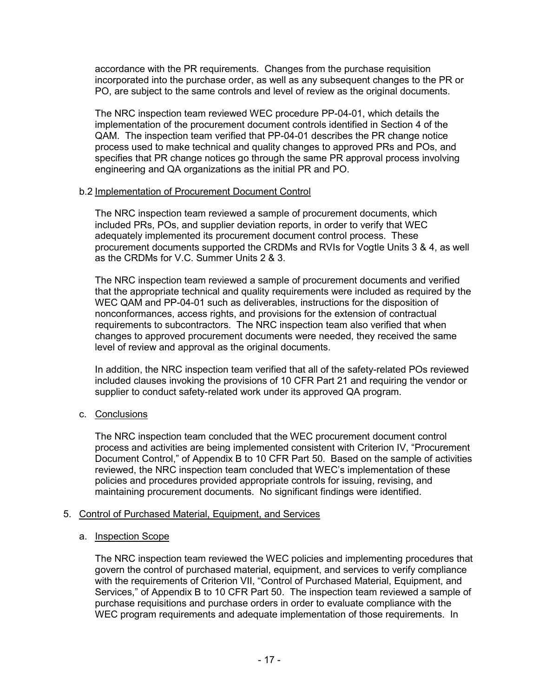accordance with the PR requirements. Changes from the purchase requisition incorporated into the purchase order, as well as any subsequent changes to the PR or PO, are subject to the same controls and level of review as the original documents.

The NRC inspection team reviewed WEC procedure PP-04-01, which details the implementation of the procurement document controls identified in Section 4 of the QAM. The inspection team verified that PP-04-01 describes the PR change notice process used to make technical and quality changes to approved PRs and POs, and specifies that PR change notices go through the same PR approval process involving engineering and QA organizations as the initial PR and PO.

## b.2 Implementation of Procurement Document Control

The NRC inspection team reviewed a sample of procurement documents, which included PRs, POs, and supplier deviation reports, in order to verify that WEC adequately implemented its procurement document control process. These procurement documents supported the CRDMs and RVIs for Vogtle Units 3 & 4, as well as the CRDMs for V.C. Summer Units 2 & 3.

The NRC inspection team reviewed a sample of procurement documents and verified that the appropriate technical and quality requirements were included as required by the WEC QAM and PP-04-01 such as deliverables, instructions for the disposition of nonconformances, access rights, and provisions for the extension of contractual requirements to subcontractors. The NRC inspection team also verified that when changes to approved procurement documents were needed, they received the same level of review and approval as the original documents.

In addition, the NRC inspection team verified that all of the safety-related POs reviewed included clauses invoking the provisions of 10 CFR Part 21 and requiring the vendor or supplier to conduct safety-related work under its approved QA program.

## c. Conclusions

The NRC inspection team concluded that the WEC procurement document control process and activities are being implemented consistent with Criterion IV, "Procurement Document Control," of Appendix B to 10 CFR Part 50. Based on the sample of activities reviewed, the NRC inspection team concluded that WEC's implementation of these policies and procedures provided appropriate controls for issuing, revising, and maintaining procurement documents. No significant findings were identified.

## 5. Control of Purchased Material, Equipment, and Services

## a. Inspection Scope

The NRC inspection team reviewed the WEC policies and implementing procedures that govern the control of purchased material, equipment, and services to verify compliance with the requirements of Criterion VII, "Control of Purchased Material, Equipment, and Services," of Appendix B to 10 CFR Part 50. The inspection team reviewed a sample of purchase requisitions and purchase orders in order to evaluate compliance with the WEC program requirements and adequate implementation of those requirements. In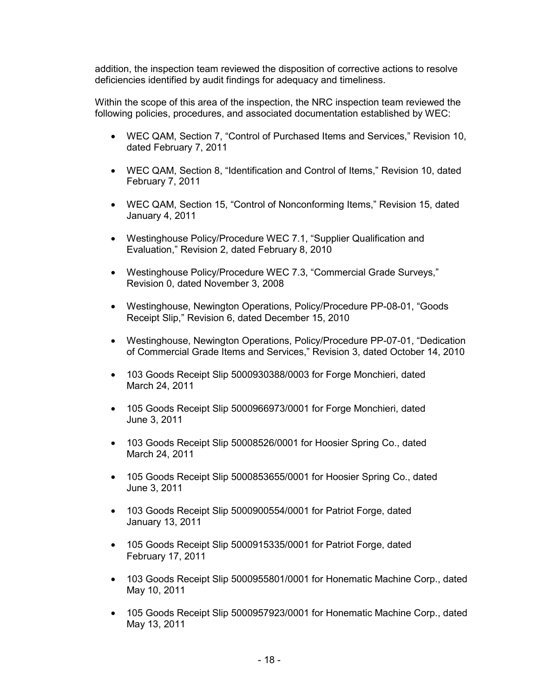addition, the inspection team reviewed the disposition of corrective actions to resolve deficiencies identified by audit findings for adequacy and timeliness.

Within the scope of this area of the inspection, the NRC inspection team reviewed the following policies, procedures, and associated documentation established by WEC:

- WEC QAM, Section 7, "Control of Purchased Items and Services," Revision 10, dated February 7, 2011
- WEC QAM, Section 8, "Identification and Control of Items," Revision 10, dated February 7, 2011
- WEC QAM, Section 15, "Control of Nonconforming Items," Revision 15, dated January 4, 2011
- Westinghouse Policy/Procedure WEC 7.1, "Supplier Qualification and Evaluation," Revision 2, dated February 8, 2010
- Westinghouse Policy/Procedure WEC 7.3, "Commercial Grade Surveys," Revision 0, dated November 3, 2008
- Westinghouse, Newington Operations, Policy/Procedure PP-08-01, "Goods Receipt Slip," Revision 6, dated December 15, 2010
- Westinghouse, Newington Operations, Policy/Procedure PP-07-01, "Dedication of Commercial Grade Items and Services," Revision 3, dated October 14, 2010
- 103 Goods Receipt Slip 5000930388/0003 for Forge Monchieri, dated March 24, 2011
- 105 Goods Receipt Slip 5000966973/0001 for Forge Monchieri, dated June 3, 2011
- 103 Goods Receipt Slip 50008526/0001 for Hoosier Spring Co., dated March 24, 2011
- 105 Goods Receipt Slip 5000853655/0001 for Hoosier Spring Co., dated June 3, 2011
- 103 Goods Receipt Slip 5000900554/0001 for Patriot Forge, dated January 13, 2011
- 105 Goods Receipt Slip 5000915335/0001 for Patriot Forge, dated February 17, 2011
- 103 Goods Receipt Slip 5000955801/0001 for Honematic Machine Corp., dated May 10, 2011
- 105 Goods Receipt Slip 5000957923/0001 for Honematic Machine Corp., dated May 13, 2011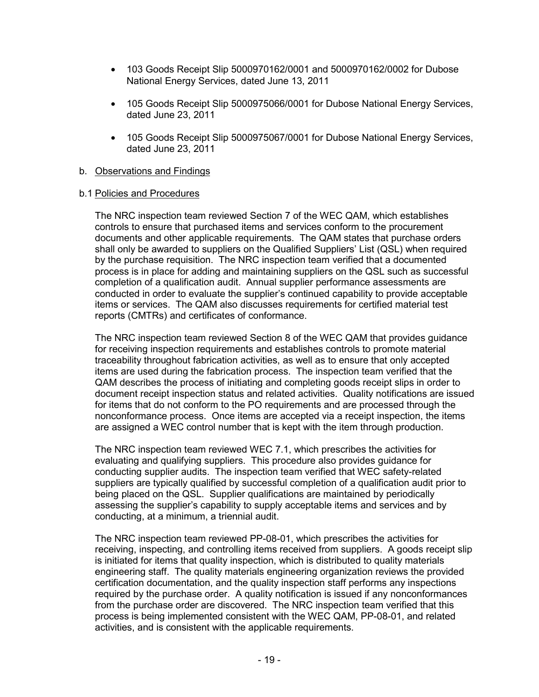- 103 Goods Receipt Slip 5000970162/0001 and 5000970162/0002 for Dubose National Energy Services, dated June 13, 2011
- 105 Goods Receipt Slip 5000975066/0001 for Dubose National Energy Services, dated June 23, 2011
- 105 Goods Receipt Slip 5000975067/0001 for Dubose National Energy Services, dated June 23, 2011

## b. Observations and Findings

#### b.1 Policies and Procedures

The NRC inspection team reviewed Section 7 of the WEC QAM, which establishes controls to ensure that purchased items and services conform to the procurement documents and other applicable requirements. The QAM states that purchase orders shall only be awarded to suppliers on the Qualified Suppliers' List (QSL) when required by the purchase requisition. The NRC inspection team verified that a documented process is in place for adding and maintaining suppliers on the QSL such as successful completion of a qualification audit. Annual supplier performance assessments are conducted in order to evaluate the supplier's continued capability to provide acceptable items or services. The QAM also discusses requirements for certified material test reports (CMTRs) and certificates of conformance.

The NRC inspection team reviewed Section 8 of the WEC QAM that provides guidance for receiving inspection requirements and establishes controls to promote material traceability throughout fabrication activities, as well as to ensure that only accepted items are used during the fabrication process. The inspection team verified that the QAM describes the process of initiating and completing goods receipt slips in order to document receipt inspection status and related activities. Quality notifications are issued for items that do not conform to the PO requirements and are processed through the nonconformance process. Once items are accepted via a receipt inspection, the items are assigned a WEC control number that is kept with the item through production.

The NRC inspection team reviewed WEC 7.1, which prescribes the activities for evaluating and qualifying suppliers. This procedure also provides guidance for conducting supplier audits. The inspection team verified that WEC safety-related suppliers are typically qualified by successful completion of a qualification audit prior to being placed on the QSL. Supplier qualifications are maintained by periodically assessing the supplier's capability to supply acceptable items and services and by conducting, at a minimum, a triennial audit.

The NRC inspection team reviewed PP-08-01, which prescribes the activities for receiving, inspecting, and controlling items received from suppliers. A goods receipt slip is initiated for items that quality inspection, which is distributed to quality materials engineering staff. The quality materials engineering organization reviews the provided certification documentation, and the quality inspection staff performs any inspections required by the purchase order. A quality notification is issued if any nonconformances from the purchase order are discovered. The NRC inspection team verified that this process is being implemented consistent with the WEC QAM, PP-08-01, and related activities, and is consistent with the applicable requirements.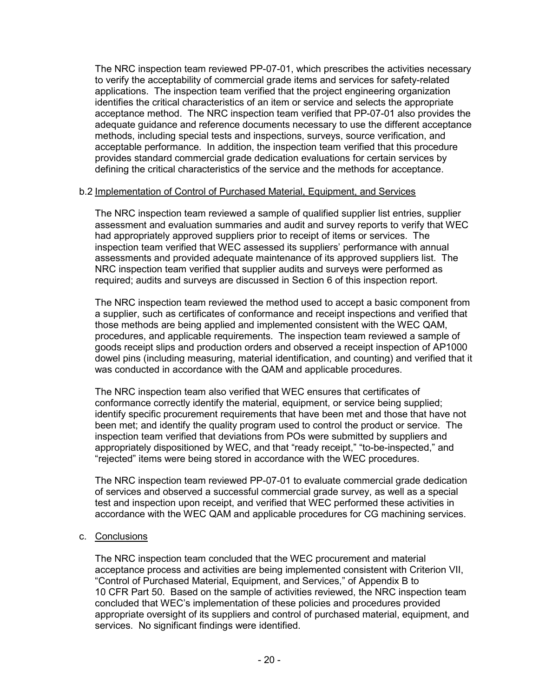The NRC inspection team reviewed PP-07-01, which prescribes the activities necessary to verify the acceptability of commercial grade items and services for safety-related applications. The inspection team verified that the project engineering organization identifies the critical characteristics of an item or service and selects the appropriate acceptance method. The NRC inspection team verified that PP-07-01 also provides the adequate guidance and reference documents necessary to use the different acceptance methods, including special tests and inspections, surveys, source verification, and acceptable performance. In addition, the inspection team verified that this procedure provides standard commercial grade dedication evaluations for certain services by defining the critical characteristics of the service and the methods for acceptance.

#### b.2 Implementation of Control of Purchased Material, Equipment, and Services

The NRC inspection team reviewed a sample of qualified supplier list entries, supplier assessment and evaluation summaries and audit and survey reports to verify that WEC had appropriately approved suppliers prior to receipt of items or services. The inspection team verified that WEC assessed its suppliers' performance with annual assessments and provided adequate maintenance of its approved suppliers list. The NRC inspection team verified that supplier audits and surveys were performed as required; audits and surveys are discussed in Section 6 of this inspection report.

The NRC inspection team reviewed the method used to accept a basic component from a supplier, such as certificates of conformance and receipt inspections and verified that those methods are being applied and implemented consistent with the WEC QAM, procedures, and applicable requirements. The inspection team reviewed a sample of goods receipt slips and production orders and observed a receipt inspection of AP1000 dowel pins (including measuring, material identification, and counting) and verified that it was conducted in accordance with the QAM and applicable procedures.

The NRC inspection team also verified that WEC ensures that certificates of conformance correctly identify the material, equipment, or service being supplied; identify specific procurement requirements that have been met and those that have not been met; and identify the quality program used to control the product or service. The inspection team verified that deviations from POs were submitted by suppliers and appropriately dispositioned by WEC, and that "ready receipt," "to-be-inspected," and "rejected" items were being stored in accordance with the WEC procedures.

The NRC inspection team reviewed PP-07-01 to evaluate commercial grade dedication of services and observed a successful commercial grade survey, as well as a special test and inspection upon receipt, and verified that WEC performed these activities in accordance with the WEC QAM and applicable procedures for CG machining services.

## c. Conclusions

The NRC inspection team concluded that the WEC procurement and material acceptance process and activities are being implemented consistent with Criterion VII, "Control of Purchased Material, Equipment, and Services," of Appendix B to 10 CFR Part 50. Based on the sample of activities reviewed, the NRC inspection team concluded that WEC's implementation of these policies and procedures provided appropriate oversight of its suppliers and control of purchased material, equipment, and services. No significant findings were identified.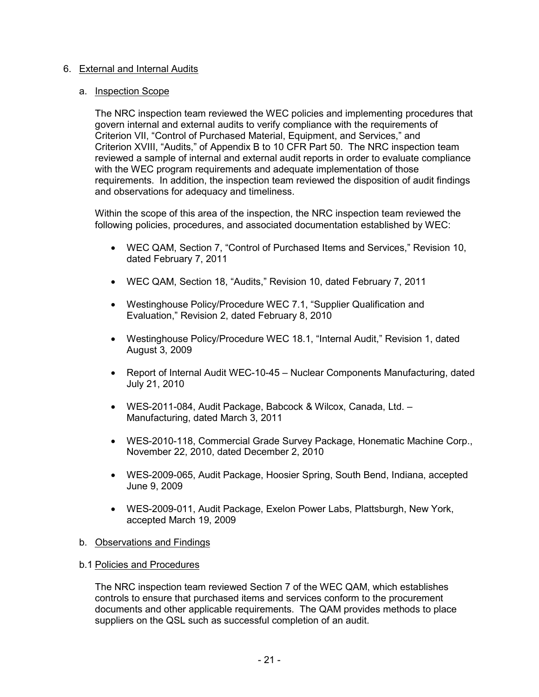## 6. External and Internal Audits

## a. Inspection Scope

The NRC inspection team reviewed the WEC policies and implementing procedures that govern internal and external audits to verify compliance with the requirements of Criterion VII, "Control of Purchased Material, Equipment, and Services," and Criterion XVIII, "Audits," of Appendix B to 10 CFR Part 50. The NRC inspection team reviewed a sample of internal and external audit reports in order to evaluate compliance with the WEC program requirements and adequate implementation of those requirements. In addition, the inspection team reviewed the disposition of audit findings and observations for adequacy and timeliness.

Within the scope of this area of the inspection, the NRC inspection team reviewed the following policies, procedures, and associated documentation established by WEC:

- WEC QAM, Section 7, "Control of Purchased Items and Services," Revision 10, dated February 7, 2011
- WEC QAM, Section 18, "Audits," Revision 10, dated February 7, 2011
- Westinghouse Policy/Procedure WEC 7.1, "Supplier Qualification and Evaluation," Revision 2, dated February 8, 2010
- Westinghouse Policy/Procedure WEC 18.1, "Internal Audit," Revision 1, dated August 3, 2009
- Report of Internal Audit WEC-10-45 Nuclear Components Manufacturing, dated July 21, 2010
- WES-2011-084, Audit Package, Babcock & Wilcox, Canada, Ltd. Manufacturing, dated March 3, 2011
- WES-2010-118, Commercial Grade Survey Package, Honematic Machine Corp., November 22, 2010, dated December 2, 2010
- WES-2009-065, Audit Package, Hoosier Spring, South Bend, Indiana, accepted June 9, 2009
- WES-2009-011, Audit Package, Exelon Power Labs, Plattsburgh, New York, accepted March 19, 2009

## b. Observations and Findings

## b.1 Policies and Procedures

The NRC inspection team reviewed Section 7 of the WEC QAM, which establishes controls to ensure that purchased items and services conform to the procurement documents and other applicable requirements. The QAM provides methods to place suppliers on the QSL such as successful completion of an audit.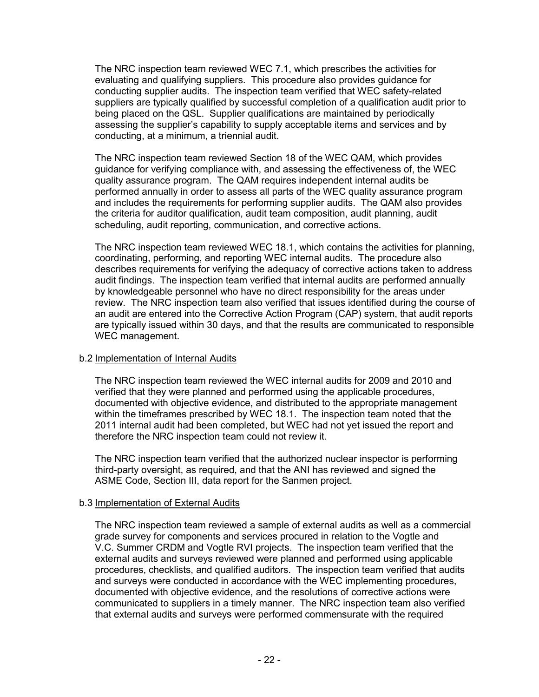The NRC inspection team reviewed WEC 7.1, which prescribes the activities for evaluating and qualifying suppliers. This procedure also provides guidance for conducting supplier audits. The inspection team verified that WEC safety-related suppliers are typically qualified by successful completion of a qualification audit prior to being placed on the QSL. Supplier qualifications are maintained by periodically assessing the supplier's capability to supply acceptable items and services and by conducting, at a minimum, a triennial audit.

The NRC inspection team reviewed Section 18 of the WEC QAM, which provides guidance for verifying compliance with, and assessing the effectiveness of, the WEC quality assurance program. The QAM requires independent internal audits be performed annually in order to assess all parts of the WEC quality assurance program and includes the requirements for performing supplier audits. The QAM also provides the criteria for auditor qualification, audit team composition, audit planning, audit scheduling, audit reporting, communication, and corrective actions.

The NRC inspection team reviewed WEC 18.1, which contains the activities for planning, coordinating, performing, and reporting WEC internal audits. The procedure also describes requirements for verifying the adequacy of corrective actions taken to address audit findings. The inspection team verified that internal audits are performed annually by knowledgeable personnel who have no direct responsibility for the areas under review. The NRC inspection team also verified that issues identified during the course of an audit are entered into the Corrective Action Program (CAP) system, that audit reports are typically issued within 30 days, and that the results are communicated to responsible WEC management.

## b.2 Implementation of Internal Audits

The NRC inspection team reviewed the WEC internal audits for 2009 and 2010 and verified that they were planned and performed using the applicable procedures, documented with objective evidence, and distributed to the appropriate management within the timeframes prescribed by WEC 18.1. The inspection team noted that the 2011 internal audit had been completed, but WEC had not yet issued the report and therefore the NRC inspection team could not review it.

The NRC inspection team verified that the authorized nuclear inspector is performing third-party oversight, as required, and that the ANI has reviewed and signed the ASME Code, Section III, data report for the Sanmen project.

## b.3 Implementation of External Audits

The NRC inspection team reviewed a sample of external audits as well as a commercial grade survey for components and services procured in relation to the Vogtle and V.C. Summer CRDM and Vogtle RVI projects. The inspection team verified that the external audits and surveys reviewed were planned and performed using applicable procedures, checklists, and qualified auditors. The inspection team verified that audits and surveys were conducted in accordance with the WEC implementing procedures, documented with objective evidence, and the resolutions of corrective actions were communicated to suppliers in a timely manner. The NRC inspection team also verified that external audits and surveys were performed commensurate with the required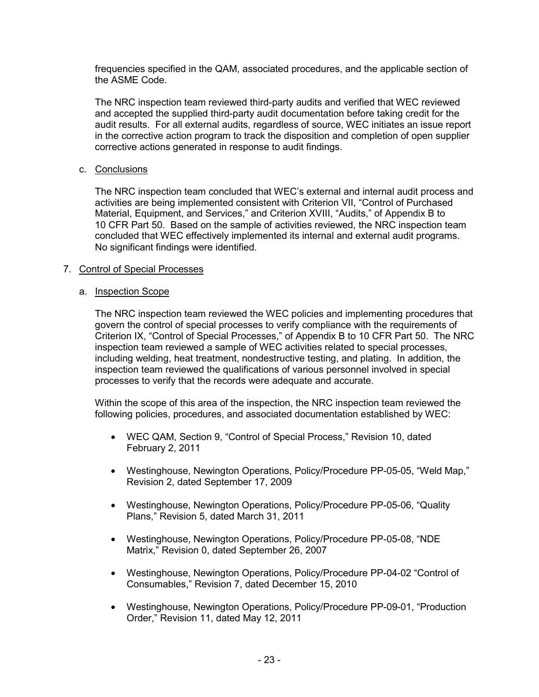frequencies specified in the QAM, associated procedures, and the applicable section of the ASME Code.

The NRC inspection team reviewed third-party audits and verified that WEC reviewed and accepted the supplied third-party audit documentation before taking credit for the audit results. For all external audits, regardless of source, WEC initiates an issue report in the corrective action program to track the disposition and completion of open supplier corrective actions generated in response to audit findings.

#### c. Conclusions

The NRC inspection team concluded that WEC's external and internal audit process and activities are being implemented consistent with Criterion VII, "Control of Purchased Material, Equipment, and Services," and Criterion XVIII, "Audits," of Appendix B to 10 CFR Part 50. Based on the sample of activities reviewed, the NRC inspection team concluded that WEC effectively implemented its internal and external audit programs. No significant findings were identified.

#### 7. Control of Special Processes

#### a. Inspection Scope

The NRC inspection team reviewed the WEC policies and implementing procedures that govern the control of special processes to verify compliance with the requirements of Criterion IX, "Control of Special Processes," of Appendix B to 10 CFR Part 50. The NRC inspection team reviewed a sample of WEC activities related to special processes, including welding, heat treatment, nondestructive testing, and plating. In addition, the inspection team reviewed the qualifications of various personnel involved in special processes to verify that the records were adequate and accurate.

Within the scope of this area of the inspection, the NRC inspection team reviewed the following policies, procedures, and associated documentation established by WEC:

- WEC QAM, Section 9, "Control of Special Process," Revision 10, dated February 2, 2011
- Westinghouse, Newington Operations, Policy/Procedure PP-05-05, "Weld Map," Revision 2, dated September 17, 2009
- Westinghouse, Newington Operations, Policy/Procedure PP-05-06, "Quality Plans," Revision 5, dated March 31, 2011
- Westinghouse, Newington Operations, Policy/Procedure PP-05-08, "NDE Matrix," Revision 0, dated September 26, 2007
- Westinghouse, Newington Operations, Policy/Procedure PP-04-02 "Control of Consumables," Revision 7, dated December 15, 2010
- Westinghouse, Newington Operations, Policy/Procedure PP-09-01, "Production Order," Revision 11, dated May 12, 2011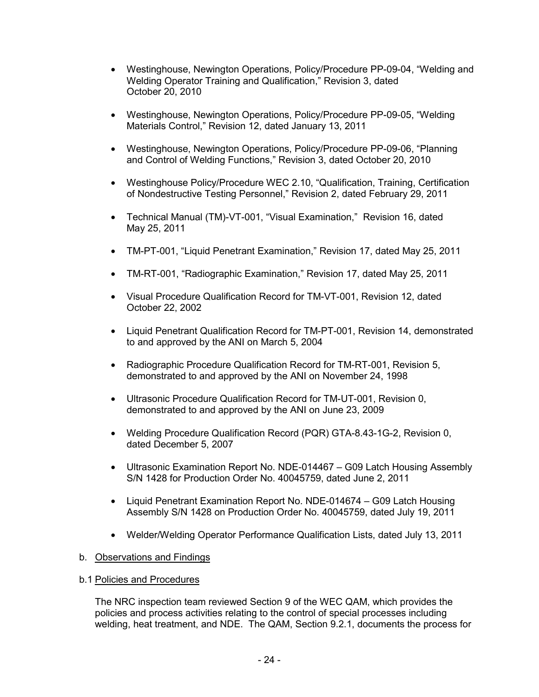- Westinghouse, Newington Operations, Policy/Procedure PP-09-04, "Welding and Welding Operator Training and Qualification," Revision 3, dated October 20, 2010
- Westinghouse, Newington Operations, Policy/Procedure PP-09-05, "Welding Materials Control," Revision 12, dated January 13, 2011
- Westinghouse, Newington Operations, Policy/Procedure PP-09-06, "Planning and Control of Welding Functions," Revision 3, dated October 20, 2010
- Westinghouse Policy/Procedure WEC 2.10, "Qualification, Training, Certification of Nondestructive Testing Personnel," Revision 2, dated February 29, 2011
- Technical Manual (TM)-VT-001, "Visual Examination," Revision 16, dated May 25, 2011
- TM-PT-001, "Liquid Penetrant Examination," Revision 17, dated May 25, 2011
- TM-RT-001, "Radiographic Examination," Revision 17, dated May 25, 2011
- Visual Procedure Qualification Record for TM-VT-001, Revision 12, dated October 22, 2002
- Liquid Penetrant Qualification Record for TM-PT-001, Revision 14, demonstrated to and approved by the ANI on March 5, 2004
- Radiographic Procedure Qualification Record for TM-RT-001, Revision 5, demonstrated to and approved by the ANI on November 24, 1998
- Ultrasonic Procedure Qualification Record for TM-UT-001, Revision 0, demonstrated to and approved by the ANI on June 23, 2009
- Welding Procedure Qualification Record (PQR) GTA-8.43-1G-2, Revision 0, dated December 5, 2007
- Ultrasonic Examination Report No. NDE-014467 G09 Latch Housing Assembly S/N 1428 for Production Order No. 40045759, dated June 2, 2011
- Liquid Penetrant Examination Report No. NDE-014674 G09 Latch Housing Assembly S/N 1428 on Production Order No. 40045759, dated July 19, 2011
- Welder/Welding Operator Performance Qualification Lists, dated July 13, 2011

## b. Observations and Findings

b.1 Policies and Procedures

The NRC inspection team reviewed Section 9 of the WEC QAM, which provides the policies and process activities relating to the control of special processes including welding, heat treatment, and NDE. The QAM, Section 9.2.1, documents the process for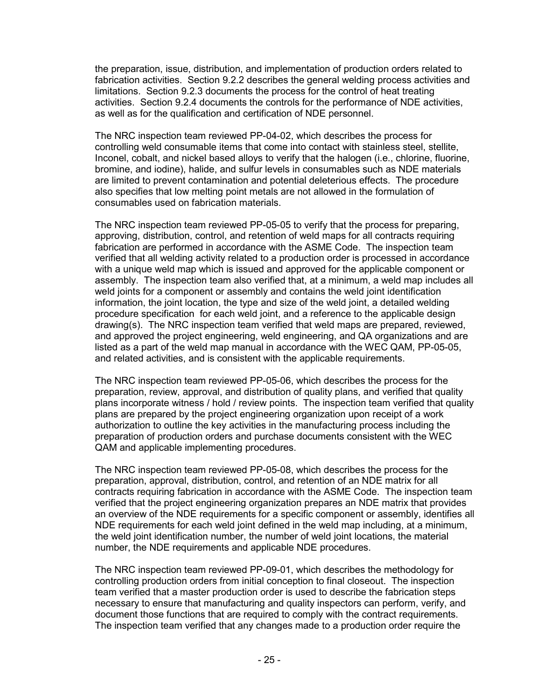the preparation, issue, distribution, and implementation of production orders related to fabrication activities. Section 9.2.2 describes the general welding process activities and limitations. Section 9.2.3 documents the process for the control of heat treating activities. Section 9.2.4 documents the controls for the performance of NDE activities, as well as for the qualification and certification of NDE personnel.

The NRC inspection team reviewed PP-04-02, which describes the process for controlling weld consumable items that come into contact with stainless steel, stellite, Inconel, cobalt, and nickel based alloys to verify that the halogen (i.e., chlorine, fluorine, bromine, and iodine), halide, and sulfur levels in consumables such as NDE materials are limited to prevent contamination and potential deleterious effects. The procedure also specifies that low melting point metals are not allowed in the formulation of consumables used on fabrication materials.

The NRC inspection team reviewed PP-05-05 to verify that the process for preparing, approving, distribution, control, and retention of weld maps for all contracts requiring fabrication are performed in accordance with the ASME Code. The inspection team verified that all welding activity related to a production order is processed in accordance with a unique weld map which is issued and approved for the applicable component or assembly. The inspection team also verified that, at a minimum, a weld map includes all weld joints for a component or assembly and contains the weld joint identification information, the joint location, the type and size of the weld joint, a detailed welding procedure specification for each weld joint, and a reference to the applicable design drawing(s). The NRC inspection team verified that weld maps are prepared, reviewed, and approved the project engineering, weld engineering, and QA organizations and are listed as a part of the weld map manual in accordance with the WEC QAM, PP-05-05, and related activities, and is consistent with the applicable requirements.

The NRC inspection team reviewed PP-05-06, which describes the process for the preparation, review, approval, and distribution of quality plans, and verified that quality plans incorporate witness / hold / review points. The inspection team verified that quality plans are prepared by the project engineering organization upon receipt of a work authorization to outline the key activities in the manufacturing process including the preparation of production orders and purchase documents consistent with the WEC QAM and applicable implementing procedures.

The NRC inspection team reviewed PP-05-08, which describes the process for the preparation, approval, distribution, control, and retention of an NDE matrix for all contracts requiring fabrication in accordance with the ASME Code. The inspection team verified that the project engineering organization prepares an NDE matrix that provides an overview of the NDE requirements for a specific component or assembly, identifies all NDE requirements for each weld joint defined in the weld map including, at a minimum, the weld joint identification number, the number of weld joint locations, the material number, the NDE requirements and applicable NDE procedures.

The NRC inspection team reviewed PP-09-01, which describes the methodology for controlling production orders from initial conception to final closeout. The inspection team verified that a master production order is used to describe the fabrication steps necessary to ensure that manufacturing and quality inspectors can perform, verify, and document those functions that are required to comply with the contract requirements. The inspection team verified that any changes made to a production order require the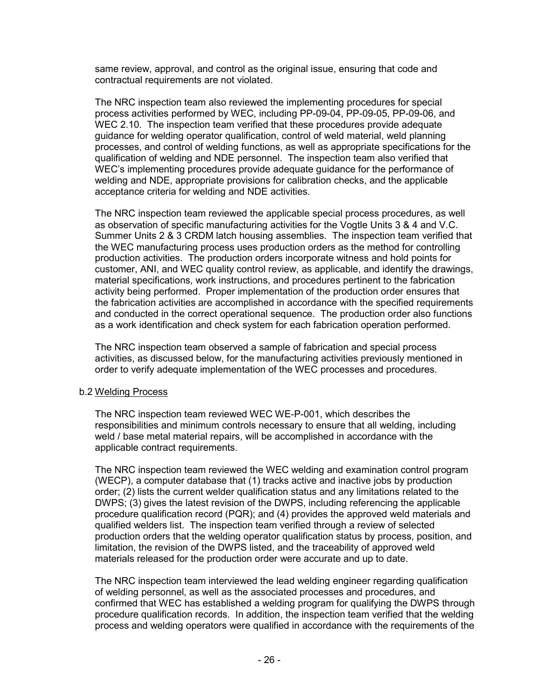same review, approval, and control as the original issue, ensuring that code and contractual requirements are not violated.

The NRC inspection team also reviewed the implementing procedures for special process activities performed by WEC, including PP-09-04, PP-09-05, PP-09-06, and WEC 2.10. The inspection team verified that these procedures provide adequate guidance for welding operator qualification, control of weld material, weld planning processes, and control of welding functions, as well as appropriate specifications for the qualification of welding and NDE personnel. The inspection team also verified that WEC's implementing procedures provide adequate guidance for the performance of welding and NDE, appropriate provisions for calibration checks, and the applicable acceptance criteria for welding and NDE activities.

The NRC inspection team reviewed the applicable special process procedures, as well as observation of specific manufacturing activities for the Vogtle Units 3 & 4 and V.C. Summer Units 2 & 3 CRDM latch housing assemblies. The inspection team verified that the WEC manufacturing process uses production orders as the method for controlling production activities. The production orders incorporate witness and hold points for customer, ANI, and WEC quality control review, as applicable, and identify the drawings, material specifications, work instructions, and procedures pertinent to the fabrication activity being performed. Proper implementation of the production order ensures that the fabrication activities are accomplished in accordance with the specified requirements and conducted in the correct operational sequence. The production order also functions as a work identification and check system for each fabrication operation performed.

The NRC inspection team observed a sample of fabrication and special process activities, as discussed below, for the manufacturing activities previously mentioned in order to verify adequate implementation of the WEC processes and procedures.

#### b.2 Welding Process

The NRC inspection team reviewed WEC WE-P-001, which describes the responsibilities and minimum controls necessary to ensure that all welding, including weld / base metal material repairs, will be accomplished in accordance with the applicable contract requirements.

The NRC inspection team reviewed the WEC welding and examination control program (WECP), a computer database that (1) tracks active and inactive jobs by production order; (2) lists the current welder qualification status and any limitations related to the DWPS; (3) gives the latest revision of the DWPS, including referencing the applicable procedure qualification record (PQR); and (4) provides the approved weld materials and qualified welders list. The inspection team verified through a review of selected production orders that the welding operator qualification status by process, position, and limitation, the revision of the DWPS listed, and the traceability of approved weld materials released for the production order were accurate and up to date.

The NRC inspection team interviewed the lead welding engineer regarding qualification of welding personnel, as well as the associated processes and procedures, and confirmed that WEC has established a welding program for qualifying the DWPS through procedure qualification records. In addition, the inspection team verified that the welding process and welding operators were qualified in accordance with the requirements of the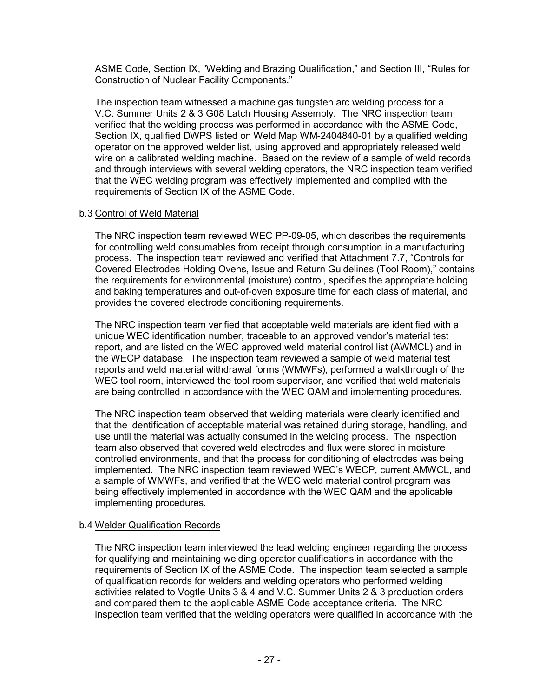ASME Code, Section IX, "Welding and Brazing Qualification," and Section III, "Rules for Construction of Nuclear Facility Components."

The inspection team witnessed a machine gas tungsten arc welding process for a V.C. Summer Units 2 & 3 G08 Latch Housing Assembly. The NRC inspection team verified that the welding process was performed in accordance with the ASME Code, Section IX, qualified DWPS listed on Weld Map WM-2404840-01 by a qualified welding operator on the approved welder list, using approved and appropriately released weld wire on a calibrated welding machine. Based on the review of a sample of weld records and through interviews with several welding operators, the NRC inspection team verified that the WEC welding program was effectively implemented and complied with the requirements of Section IX of the ASME Code.

## b.3 Control of Weld Material

The NRC inspection team reviewed WEC PP-09-05, which describes the requirements for controlling weld consumables from receipt through consumption in a manufacturing process. The inspection team reviewed and verified that Attachment 7.7, "Controls for Covered Electrodes Holding Ovens, Issue and Return Guidelines (Tool Room)," contains the requirements for environmental (moisture) control, specifies the appropriate holding and baking temperatures and out-of-oven exposure time for each class of material, and provides the covered electrode conditioning requirements.

The NRC inspection team verified that acceptable weld materials are identified with a unique WEC identification number, traceable to an approved vendor's material test report, and are listed on the WEC approved weld material control list (AWMCL) and in the WECP database. The inspection team reviewed a sample of weld material test reports and weld material withdrawal forms (WMWFs), performed a walkthrough of the WEC tool room, interviewed the tool room supervisor, and verified that weld materials are being controlled in accordance with the WEC QAM and implementing procedures.

The NRC inspection team observed that welding materials were clearly identified and that the identification of acceptable material was retained during storage, handling, and use until the material was actually consumed in the welding process. The inspection team also observed that covered weld electrodes and flux were stored in moisture controlled environments, and that the process for conditioning of electrodes was being implemented. The NRC inspection team reviewed WEC's WECP, current AMWCL, and a sample of WMWFs, and verified that the WEC weld material control program was being effectively implemented in accordance with the WEC QAM and the applicable implementing procedures.

## b.4 Welder Qualification Records

The NRC inspection team interviewed the lead welding engineer regarding the process for qualifying and maintaining welding operator qualifications in accordance with the requirements of Section IX of the ASME Code. The inspection team selected a sample of qualification records for welders and welding operators who performed welding activities related to Vogtle Units 3 & 4 and V.C. Summer Units 2 & 3 production orders and compared them to the applicable ASME Code acceptance criteria. The NRC inspection team verified that the welding operators were qualified in accordance with the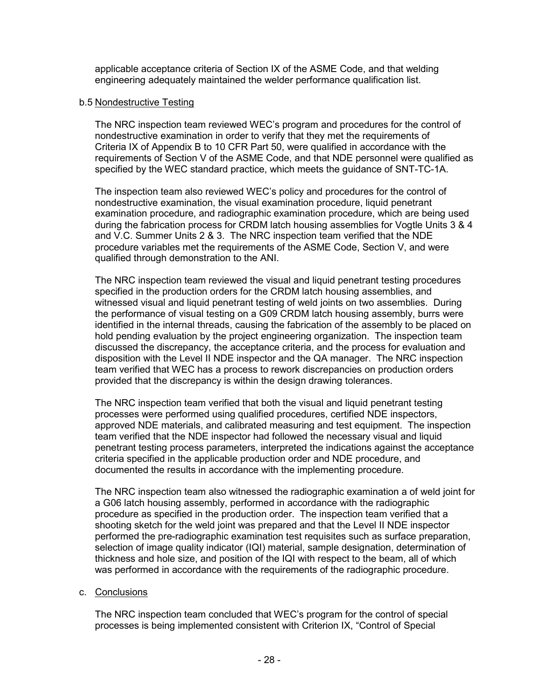applicable acceptance criteria of Section IX of the ASME Code, and that welding engineering adequately maintained the welder performance qualification list.

#### b.5 Nondestructive Testing

The NRC inspection team reviewed WEC's program and procedures for the control of nondestructive examination in order to verify that they met the requirements of Criteria IX of Appendix B to 10 CFR Part 50, were qualified in accordance with the requirements of Section V of the ASME Code, and that NDE personnel were qualified as specified by the WEC standard practice, which meets the guidance of SNT-TC-1A.

The inspection team also reviewed WEC's policy and procedures for the control of nondestructive examination, the visual examination procedure, liquid penetrant examination procedure, and radiographic examination procedure, which are being used during the fabrication process for CRDM latch housing assemblies for Vogtle Units 3 & 4 and V.C. Summer Units 2 & 3. The NRC inspection team verified that the NDE procedure variables met the requirements of the ASME Code, Section V, and were qualified through demonstration to the ANI.

The NRC inspection team reviewed the visual and liquid penetrant testing procedures specified in the production orders for the CRDM latch housing assemblies, and witnessed visual and liquid penetrant testing of weld joints on two assemblies. During the performance of visual testing on a G09 CRDM latch housing assembly, burrs were identified in the internal threads, causing the fabrication of the assembly to be placed on hold pending evaluation by the project engineering organization. The inspection team discussed the discrepancy, the acceptance criteria, and the process for evaluation and disposition with the Level II NDE inspector and the QA manager. The NRC inspection team verified that WEC has a process to rework discrepancies on production orders provided that the discrepancy is within the design drawing tolerances.

The NRC inspection team verified that both the visual and liquid penetrant testing processes were performed using qualified procedures, certified NDE inspectors, approved NDE materials, and calibrated measuring and test equipment. The inspection team verified that the NDE inspector had followed the necessary visual and liquid penetrant testing process parameters, interpreted the indications against the acceptance criteria specified in the applicable production order and NDE procedure, and documented the results in accordance with the implementing procedure.

The NRC inspection team also witnessed the radiographic examination a of weld joint for a G06 latch housing assembly, performed in accordance with the radiographic procedure as specified in the production order. The inspection team verified that a shooting sketch for the weld joint was prepared and that the Level II NDE inspector performed the pre-radiographic examination test requisites such as surface preparation, selection of image quality indicator (IQI) material, sample designation, determination of thickness and hole size, and position of the IQI with respect to the beam, all of which was performed in accordance with the requirements of the radiographic procedure.

## c. Conclusions

The NRC inspection team concluded that WEC's program for the control of special processes is being implemented consistent with Criterion IX, "Control of Special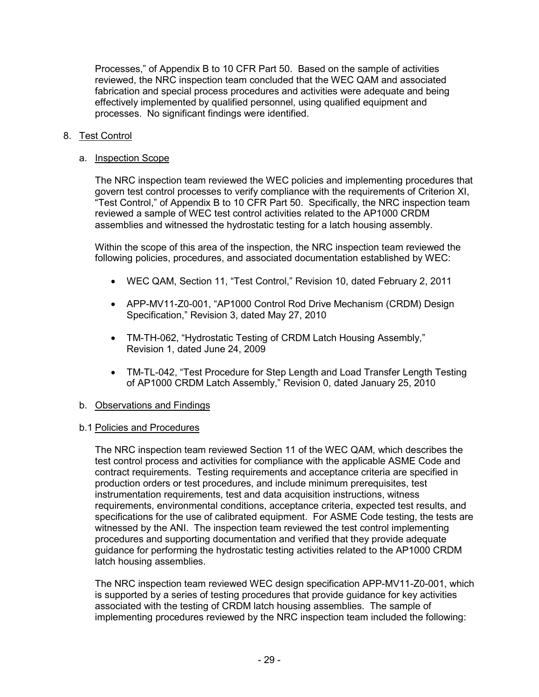Processes," of Appendix B to 10 CFR Part 50. Based on the sample of activities reviewed, the NRC inspection team concluded that the WEC QAM and associated fabrication and special process procedures and activities were adequate and being effectively implemented by qualified personnel, using qualified equipment and processes. No significant findings were identified.

# 8. Test Control

## a. Inspection Scope

The NRC inspection team reviewed the WEC policies and implementing procedures that govern test control processes to verify compliance with the requirements of Criterion XI, "Test Control," of Appendix B to 10 CFR Part 50. Specifically, the NRC inspection team reviewed a sample of WEC test control activities related to the AP1000 CRDM assemblies and witnessed the hydrostatic testing for a latch housing assembly.

Within the scope of this area of the inspection, the NRC inspection team reviewed the following policies, procedures, and associated documentation established by WEC:

- WEC QAM, Section 11, "Test Control," Revision 10, dated February 2, 2011
- APP-MV11-Z0-001, "AP1000 Control Rod Drive Mechanism (CRDM) Design Specification," Revision 3, dated May 27, 2010
- TM-TH-062, "Hydrostatic Testing of CRDM Latch Housing Assembly," Revision 1, dated June 24, 2009
- TM-TL-042, "Test Procedure for Step Length and Load Transfer Length Testing of AP1000 CRDM Latch Assembly," Revision 0, dated January 25, 2010

## b. Observations and Findings

## b.1 Policies and Procedures

The NRC inspection team reviewed Section 11 of the WEC QAM, which describes the test control process and activities for compliance with the applicable ASME Code and contract requirements. Testing requirements and acceptance criteria are specified in production orders or test procedures, and include minimum prerequisites, test instrumentation requirements, test and data acquisition instructions, witness requirements, environmental conditions, acceptance criteria, expected test results, and specifications for the use of calibrated equipment. For ASME Code testing, the tests are witnessed by the ANI. The inspection team reviewed the test control implementing procedures and supporting documentation and verified that they provide adequate guidance for performing the hydrostatic testing activities related to the AP1000 CRDM latch housing assemblies.

The NRC inspection team reviewed WEC design specification APP-MV11-Z0-001, which is supported by a series of testing procedures that provide guidance for key activities associated with the testing of CRDM latch housing assemblies. The sample of implementing procedures reviewed by the NRC inspection team included the following: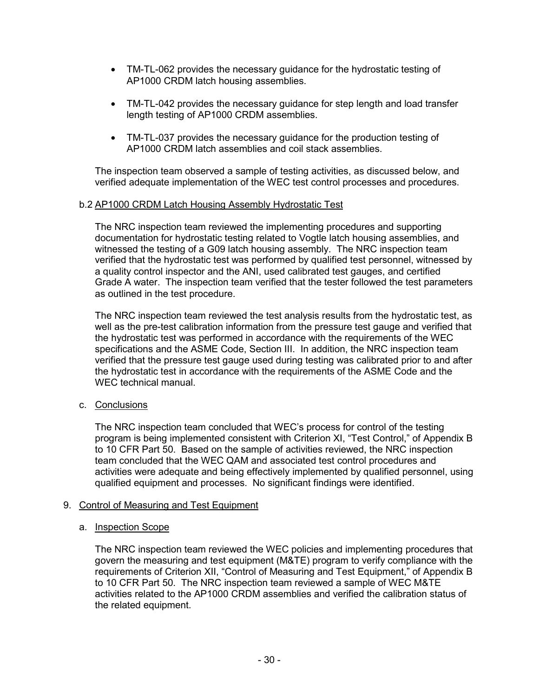- TM-TL-062 provides the necessary guidance for the hydrostatic testing of AP1000 CRDM latch housing assemblies.
- TM-TL-042 provides the necessary guidance for step length and load transfer length testing of AP1000 CRDM assemblies.
- TM-TL-037 provides the necessary guidance for the production testing of AP1000 CRDM latch assemblies and coil stack assemblies.

The inspection team observed a sample of testing activities, as discussed below, and verified adequate implementation of the WEC test control processes and procedures.

#### b.2 AP1000 CRDM Latch Housing Assembly Hydrostatic Test

The NRC inspection team reviewed the implementing procedures and supporting documentation for hydrostatic testing related to Vogtle latch housing assemblies, and witnessed the testing of a G09 latch housing assembly. The NRC inspection team verified that the hydrostatic test was performed by qualified test personnel, witnessed by a quality control inspector and the ANI, used calibrated test gauges, and certified Grade A water. The inspection team verified that the tester followed the test parameters as outlined in the test procedure.

The NRC inspection team reviewed the test analysis results from the hydrostatic test, as well as the pre-test calibration information from the pressure test gauge and verified that the hydrostatic test was performed in accordance with the requirements of the WEC specifications and the ASME Code, Section III. In addition, the NRC inspection team verified that the pressure test gauge used during testing was calibrated prior to and after the hydrostatic test in accordance with the requirements of the ASME Code and the WEC technical manual.

## c. Conclusions

The NRC inspection team concluded that WEC's process for control of the testing program is being implemented consistent with Criterion XI, "Test Control," of Appendix B to 10 CFR Part 50. Based on the sample of activities reviewed, the NRC inspection team concluded that the WEC QAM and associated test control procedures and activities were adequate and being effectively implemented by qualified personnel, using qualified equipment and processes. No significant findings were identified.

## 9. Control of Measuring and Test Equipment

## a. Inspection Scope

The NRC inspection team reviewed the WEC policies and implementing procedures that govern the measuring and test equipment (M&TE) program to verify compliance with the requirements of Criterion XII, "Control of Measuring and Test Equipment," of Appendix B to 10 CFR Part 50. The NRC inspection team reviewed a sample of WEC M&TE activities related to the AP1000 CRDM assemblies and verified the calibration status of the related equipment.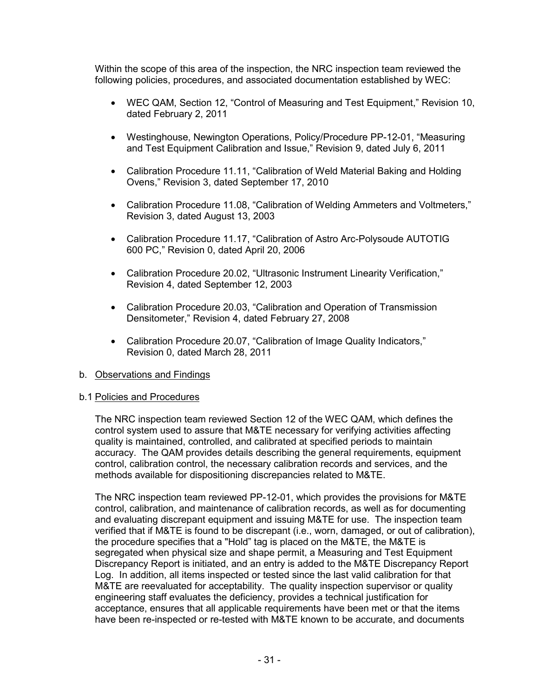Within the scope of this area of the inspection, the NRC inspection team reviewed the following policies, procedures, and associated documentation established by WEC:

- WEC QAM, Section 12, "Control of Measuring and Test Equipment," Revision 10, dated February 2, 2011
- Westinghouse, Newington Operations, Policy/Procedure PP-12-01, "Measuring and Test Equipment Calibration and Issue," Revision 9, dated July 6, 2011
- Calibration Procedure 11.11, "Calibration of Weld Material Baking and Holding Ovens," Revision 3, dated September 17, 2010
- Calibration Procedure 11.08, "Calibration of Welding Ammeters and Voltmeters," Revision 3, dated August 13, 2003
- Calibration Procedure 11.17, "Calibration of Astro Arc-Polysoude AUTOTIG 600 PC," Revision 0, dated April 20, 2006
- Calibration Procedure 20.02, "Ultrasonic Instrument Linearity Verification," Revision 4, dated September 12, 2003
- Calibration Procedure 20.03, "Calibration and Operation of Transmission Densitometer," Revision 4, dated February 27, 2008
- Calibration Procedure 20.07, "Calibration of Image Quality Indicators," Revision 0, dated March 28, 2011

## b. Observations and Findings

## b.1 Policies and Procedures

The NRC inspection team reviewed Section 12 of the WEC QAM, which defines the control system used to assure that M&TE necessary for verifying activities affecting quality is maintained, controlled, and calibrated at specified periods to maintain accuracy. The QAM provides details describing the general requirements, equipment control, calibration control, the necessary calibration records and services, and the methods available for dispositioning discrepancies related to M&TE.

The NRC inspection team reviewed PP-12-01, which provides the provisions for M&TE control, calibration, and maintenance of calibration records, as well as for documenting and evaluating discrepant equipment and issuing M&TE for use. The inspection team verified that if M&TE is found to be discrepant (i.e., worn, damaged, or out of calibration), the procedure specifies that a "Hold" tag is placed on the M&TE, the M&TE is segregated when physical size and shape permit, a Measuring and Test Equipment Discrepancy Report is initiated, and an entry is added to the M&TE Discrepancy Report Log. In addition, all items inspected or tested since the last valid calibration for that M&TE are reevaluated for acceptability. The quality inspection supervisor or quality engineering staff evaluates the deficiency, provides a technical justification for acceptance, ensures that all applicable requirements have been met or that the items have been re-inspected or re-tested with M&TE known to be accurate, and documents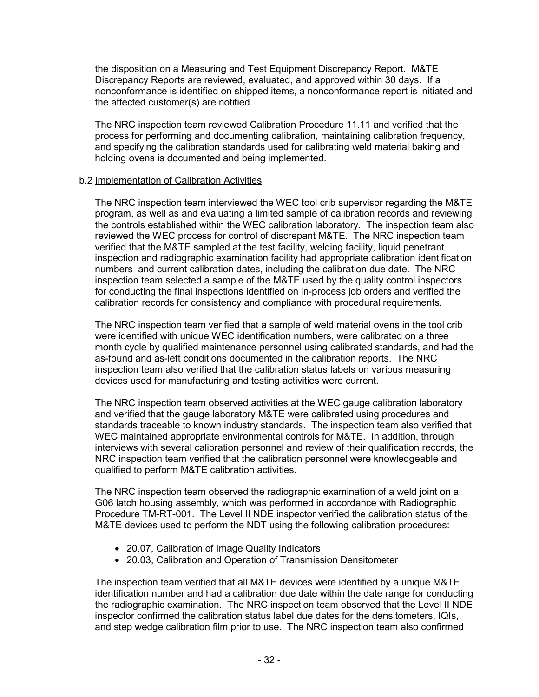the disposition on a Measuring and Test Equipment Discrepancy Report. M&TE Discrepancy Reports are reviewed, evaluated, and approved within 30 days. If a nonconformance is identified on shipped items, a nonconformance report is initiated and the affected customer(s) are notified.

The NRC inspection team reviewed Calibration Procedure 11.11 and verified that the process for performing and documenting calibration, maintaining calibration frequency, and specifying the calibration standards used for calibrating weld material baking and holding ovens is documented and being implemented.

#### b.2 Implementation of Calibration Activities

The NRC inspection team interviewed the WEC tool crib supervisor regarding the M&TE program, as well as and evaluating a limited sample of calibration records and reviewing the controls established within the WEC calibration laboratory. The inspection team also reviewed the WEC process for control of discrepant M&TE. The NRC inspection team verified that the M&TE sampled at the test facility, welding facility, liquid penetrant inspection and radiographic examination facility had appropriate calibration identification numbers and current calibration dates, including the calibration due date. The NRC inspection team selected a sample of the M&TE used by the quality control inspectors for conducting the final inspections identified on in-process job orders and verified the calibration records for consistency and compliance with procedural requirements.

The NRC inspection team verified that a sample of weld material ovens in the tool crib were identified with unique WEC identification numbers, were calibrated on a three month cycle by qualified maintenance personnel using calibrated standards, and had the as-found and as-left conditions documented in the calibration reports. The NRC inspection team also verified that the calibration status labels on various measuring devices used for manufacturing and testing activities were current.

The NRC inspection team observed activities at the WEC gauge calibration laboratory and verified that the gauge laboratory M&TE were calibrated using procedures and standards traceable to known industry standards. The inspection team also verified that WEC maintained appropriate environmental controls for M&TE. In addition, through interviews with several calibration personnel and review of their qualification records, the NRC inspection team verified that the calibration personnel were knowledgeable and qualified to perform M&TE calibration activities.

The NRC inspection team observed the radiographic examination of a weld joint on a G06 latch housing assembly, which was performed in accordance with Radiographic Procedure TM-RT-001. The Level II NDE inspector verified the calibration status of the M&TE devices used to perform the NDT using the following calibration procedures:

- 20.07, Calibration of Image Quality Indicators
- 20.03, Calibration and Operation of Transmission Densitometer

The inspection team verified that all M&TE devices were identified by a unique M&TE identification number and had a calibration due date within the date range for conducting the radiographic examination. The NRC inspection team observed that the Level II NDE inspector confirmed the calibration status label due dates for the densitometers, IQIs, and step wedge calibration film prior to use. The NRC inspection team also confirmed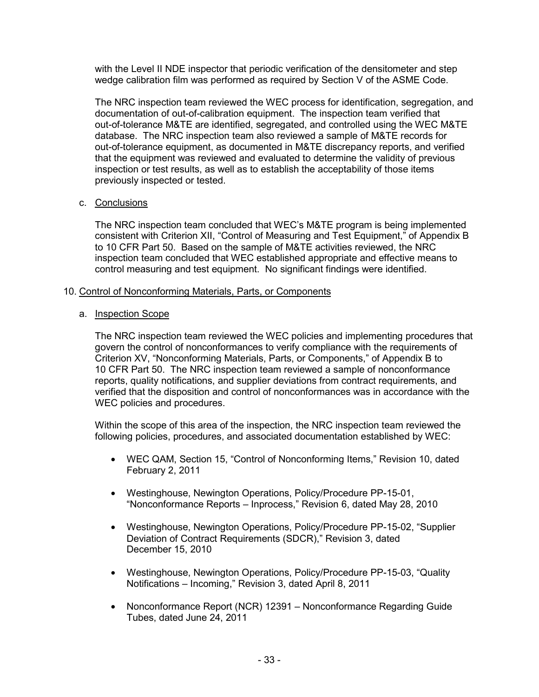with the Level II NDE inspector that periodic verification of the densitometer and step wedge calibration film was performed as required by Section V of the ASME Code.

The NRC inspection team reviewed the WEC process for identification, segregation, and documentation of out-of-calibration equipment. The inspection team verified that out-of-tolerance M&TE are identified, segregated, and controlled using the WEC M&TE database. The NRC inspection team also reviewed a sample of M&TE records for out-of-tolerance equipment, as documented in M&TE discrepancy reports, and verified that the equipment was reviewed and evaluated to determine the validity of previous inspection or test results, as well as to establish the acceptability of those items previously inspected or tested.

## c. Conclusions

The NRC inspection team concluded that WEC's M&TE program is being implemented consistent with Criterion XII, "Control of Measuring and Test Equipment," of Appendix B to 10 CFR Part 50. Based on the sample of M&TE activities reviewed, the NRC inspection team concluded that WEC established appropriate and effective means to control measuring and test equipment. No significant findings were identified.

## 10. Control of Nonconforming Materials, Parts, or Components

# a. Inspection Scope

The NRC inspection team reviewed the WEC policies and implementing procedures that govern the control of nonconformances to verify compliance with the requirements of Criterion XV, "Nonconforming Materials, Parts, or Components," of Appendix B to 10 CFR Part 50. The NRC inspection team reviewed a sample of nonconformance reports, quality notifications, and supplier deviations from contract requirements, and verified that the disposition and control of nonconformances was in accordance with the WEC policies and procedures.

Within the scope of this area of the inspection, the NRC inspection team reviewed the following policies, procedures, and associated documentation established by WEC:

- WEC QAM, Section 15, "Control of Nonconforming Items," Revision 10, dated February 2, 2011
- Westinghouse, Newington Operations, Policy/Procedure PP-15-01, "Nonconformance Reports – Inprocess," Revision 6, dated May 28, 2010
- Westinghouse, Newington Operations, Policy/Procedure PP-15-02, "Supplier Deviation of Contract Requirements (SDCR)," Revision 3, dated December 15, 2010
- Westinghouse, Newington Operations, Policy/Procedure PP-15-03, "Quality Notifications – Incoming," Revision 3, dated April 8, 2011
- Nonconformance Report (NCR) 12391 Nonconformance Regarding Guide Tubes, dated June 24, 2011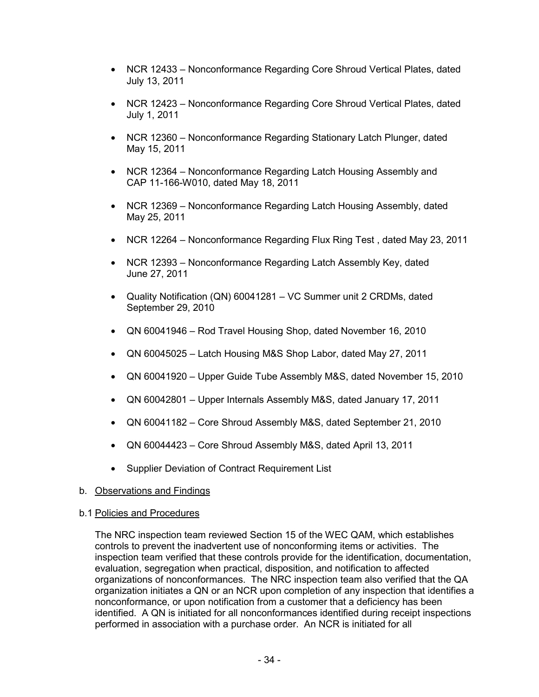- NCR 12433 Nonconformance Regarding Core Shroud Vertical Plates, dated July 13, 2011
- NCR 12423 Nonconformance Regarding Core Shroud Vertical Plates, dated July 1, 2011
- NCR 12360 Nonconformance Regarding Stationary Latch Plunger, dated May 15, 2011
- NCR 12364 Nonconformance Regarding Latch Housing Assembly and CAP 11-166-W010, dated May 18, 2011
- NCR 12369 Nonconformance Regarding Latch Housing Assembly, dated May 25, 2011
- NCR 12264 Nonconformance Regarding Flux Ring Test , dated May 23, 2011
- NCR 12393 Nonconformance Regarding Latch Assembly Key, dated June 27, 2011
- Quality Notification (QN) 60041281 VC Summer unit 2 CRDMs, dated September 29, 2010
- QN 60041946 Rod Travel Housing Shop, dated November 16, 2010
- QN 60045025 Latch Housing M&S Shop Labor, dated May 27, 2011
- QN 60041920 Upper Guide Tube Assembly M&S, dated November 15, 2010
- QN 60042801 Upper Internals Assembly M&S, dated January 17, 2011
- QN 60041182 Core Shroud Assembly M&S, dated September 21, 2010
- QN 60044423 Core Shroud Assembly M&S, dated April 13, 2011
- Supplier Deviation of Contract Requirement List

## b. Observations and Findings

## b.1 Policies and Procedures

The NRC inspection team reviewed Section 15 of the WEC QAM, which establishes controls to prevent the inadvertent use of nonconforming items or activities. The inspection team verified that these controls provide for the identification, documentation, evaluation, segregation when practical, disposition, and notification to affected organizations of nonconformances. The NRC inspection team also verified that the QA organization initiates a QN or an NCR upon completion of any inspection that identifies a nonconformance, or upon notification from a customer that a deficiency has been identified. A QN is initiated for all nonconformances identified during receipt inspections performed in association with a purchase order. An NCR is initiated for all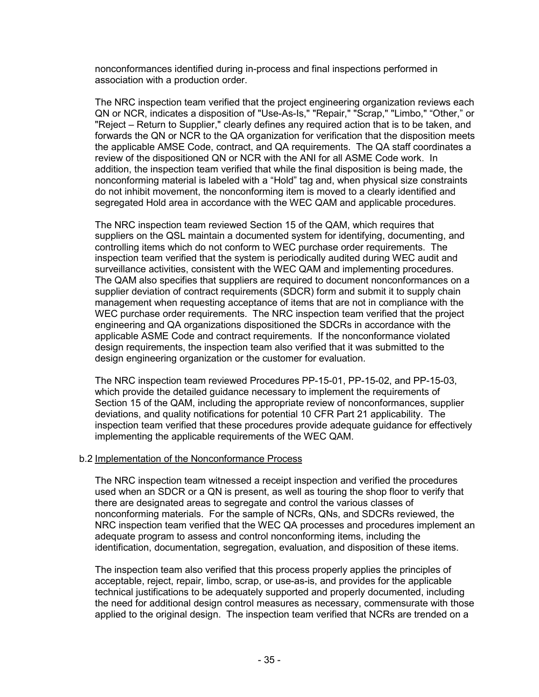nonconformances identified during in-process and final inspections performed in association with a production order.

The NRC inspection team verified that the project engineering organization reviews each QN or NCR, indicates a disposition of "Use-As-Is," "Repair," "Scrap," "Limbo," "Other," or "Reject – Return to Supplier," clearly defines any required action that is to be taken, and forwards the QN or NCR to the QA organization for verification that the disposition meets the applicable AMSE Code, contract, and QA requirements. The QA staff coordinates a review of the dispositioned QN or NCR with the ANI for all ASME Code work. In addition, the inspection team verified that while the final disposition is being made, the nonconforming material is labeled with a "Hold" tag and, when physical size constraints do not inhibit movement, the nonconforming item is moved to a clearly identified and segregated Hold area in accordance with the WEC QAM and applicable procedures.

The NRC inspection team reviewed Section 15 of the QAM, which requires that suppliers on the QSL maintain a documented system for identifying, documenting, and controlling items which do not conform to WEC purchase order requirements. The inspection team verified that the system is periodically audited during WEC audit and surveillance activities, consistent with the WEC QAM and implementing procedures. The QAM also specifies that suppliers are required to document nonconformances on a supplier deviation of contract requirements (SDCR) form and submit it to supply chain management when requesting acceptance of items that are not in compliance with the WEC purchase order requirements. The NRC inspection team verified that the project engineering and QA organizations dispositioned the SDCRs in accordance with the applicable ASME Code and contract requirements. If the nonconformance violated design requirements, the inspection team also verified that it was submitted to the design engineering organization or the customer for evaluation.

The NRC inspection team reviewed Procedures PP-15-01, PP-15-02, and PP-15-03, which provide the detailed guidance necessary to implement the requirements of Section 15 of the QAM, including the appropriate review of nonconformances, supplier deviations, and quality notifications for potential 10 CFR Part 21 applicability. The inspection team verified that these procedures provide adequate guidance for effectively implementing the applicable requirements of the WEC QAM.

#### b.2 Implementation of the Nonconformance Process

The NRC inspection team witnessed a receipt inspection and verified the procedures used when an SDCR or a QN is present, as well as touring the shop floor to verify that there are designated areas to segregate and control the various classes of nonconforming materials. For the sample of NCRs, QNs, and SDCRs reviewed, the NRC inspection team verified that the WEC QA processes and procedures implement an adequate program to assess and control nonconforming items, including the identification, documentation, segregation, evaluation, and disposition of these items.

The inspection team also verified that this process properly applies the principles of acceptable, reject, repair, limbo, scrap, or use-as-is, and provides for the applicable technical justifications to be adequately supported and properly documented, including the need for additional design control measures as necessary, commensurate with those applied to the original design. The inspection team verified that NCRs are trended on a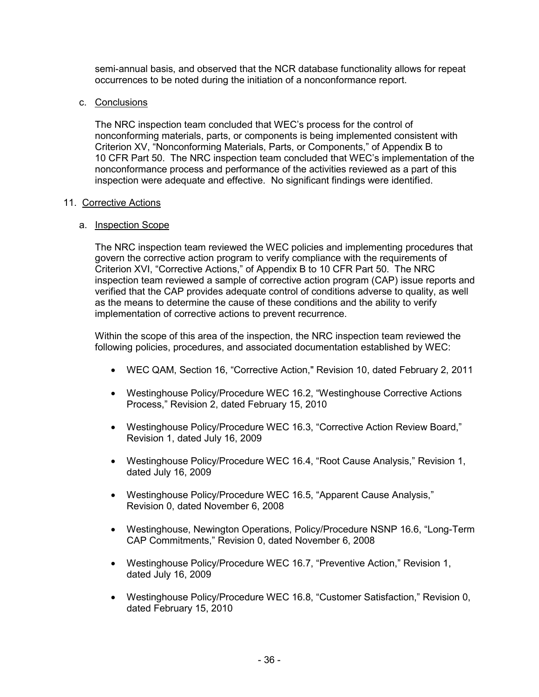semi-annual basis, and observed that the NCR database functionality allows for repeat occurrences to be noted during the initiation of a nonconformance report.

## c. Conclusions

The NRC inspection team concluded that WEC's process for the control of nonconforming materials, parts, or components is being implemented consistent with Criterion XV, "Nonconforming Materials, Parts, or Components," of Appendix B to 10 CFR Part 50. The NRC inspection team concluded that WEC's implementation of the nonconformance process and performance of the activities reviewed as a part of this inspection were adequate and effective. No significant findings were identified.

## 11. Corrective Actions

# a. Inspection Scope

The NRC inspection team reviewed the WEC policies and implementing procedures that govern the corrective action program to verify compliance with the requirements of Criterion XVI, "Corrective Actions," of Appendix B to 10 CFR Part 50. The NRC inspection team reviewed a sample of corrective action program (CAP) issue reports and verified that the CAP provides adequate control of conditions adverse to quality, as well as the means to determine the cause of these conditions and the ability to verify implementation of corrective actions to prevent recurrence.

Within the scope of this area of the inspection, the NRC inspection team reviewed the following policies, procedures, and associated documentation established by WEC:

- WEC QAM, Section 16, "Corrective Action," Revision 10, dated February 2, 2011
- Westinghouse Policy/Procedure WEC 16.2, "Westinghouse Corrective Actions Process," Revision 2, dated February 15, 2010
- Westinghouse Policy/Procedure WEC 16.3, "Corrective Action Review Board," Revision 1, dated July 16, 2009
- Westinghouse Policy/Procedure WEC 16.4, "Root Cause Analysis," Revision 1, dated July 16, 2009
- Westinghouse Policy/Procedure WEC 16.5, "Apparent Cause Analysis," Revision 0, dated November 6, 2008
- Westinghouse, Newington Operations, Policy/Procedure NSNP 16.6, "Long-Term CAP Commitments," Revision 0, dated November 6, 2008
- Westinghouse Policy/Procedure WEC 16.7, "Preventive Action," Revision 1, dated July 16, 2009
- Westinghouse Policy/Procedure WEC 16.8, "Customer Satisfaction," Revision 0, dated February 15, 2010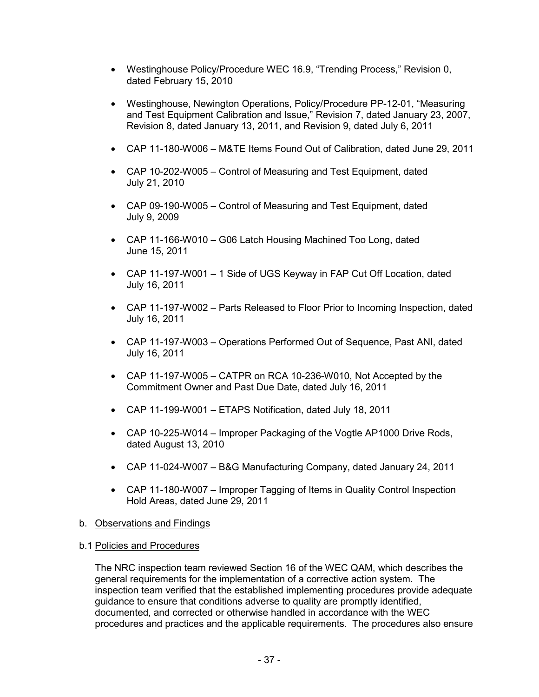- Westinghouse Policy/Procedure WEC 16.9, "Trending Process," Revision 0, dated February 15, 2010
- Westinghouse, Newington Operations, Policy/Procedure PP-12-01, "Measuring and Test Equipment Calibration and Issue," Revision 7, dated January 23, 2007, Revision 8, dated January 13, 2011, and Revision 9, dated July 6, 2011
- CAP 11-180-W006 M&TE Items Found Out of Calibration, dated June 29, 2011
- CAP 10-202-W005 Control of Measuring and Test Equipment, dated July 21, 2010
- CAP 09-190-W005 Control of Measuring and Test Equipment, dated July 9, 2009
- CAP 11-166-W010 G06 Latch Housing Machined Too Long, dated June 15, 2011
- CAP 11-197-W001 1 Side of UGS Keyway in FAP Cut Off Location, dated July 16, 2011
- CAP 11-197-W002 Parts Released to Floor Prior to Incoming Inspection, dated July 16, 2011
- CAP 11-197-W003 Operations Performed Out of Sequence, Past ANI, dated July 16, 2011
- CAP 11-197-W005 CATPR on RCA 10-236-W010, Not Accepted by the Commitment Owner and Past Due Date, dated July 16, 2011
- CAP 11-199-W001 ETAPS Notification, dated July 18, 2011
- CAP 10-225-W014 Improper Packaging of the Vogtle AP1000 Drive Rods, dated August 13, 2010
- CAP 11-024-W007 B&G Manufacturing Company, dated January 24, 2011
- CAP 11-180-W007 Improper Tagging of Items in Quality Control Inspection Hold Areas, dated June 29, 2011

## b. Observations and Findings

## b.1 Policies and Procedures

The NRC inspection team reviewed Section 16 of the WEC QAM, which describes the general requirements for the implementation of a corrective action system. The inspection team verified that the established implementing procedures provide adequate guidance to ensure that conditions adverse to quality are promptly identified, documented, and corrected or otherwise handled in accordance with the WEC procedures and practices and the applicable requirements. The procedures also ensure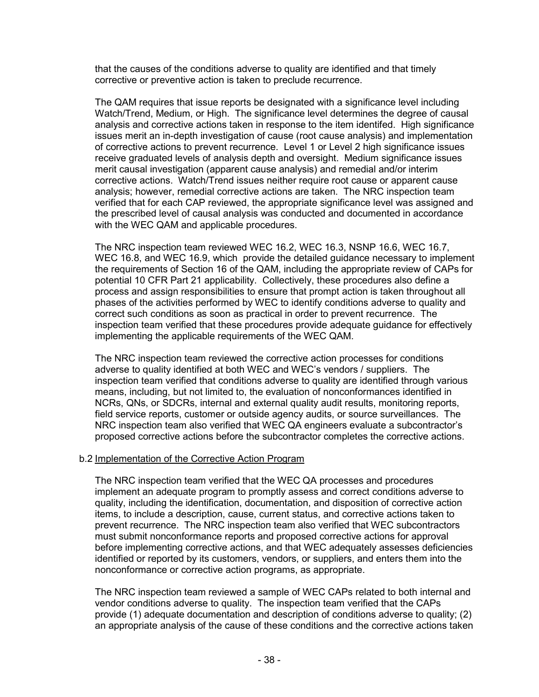that the causes of the conditions adverse to quality are identified and that timely corrective or preventive action is taken to preclude recurrence.

The QAM requires that issue reports be designated with a significance level including Watch/Trend, Medium, or High. The significance level determines the degree of causal analysis and corrective actions taken in response to the item identifed. High significance issues merit an in-depth investigation of cause (root cause analysis) and implementation of corrective actions to prevent recurrence. Level 1 or Level 2 high significance issues receive graduated levels of analysis depth and oversight. Medium significance issues merit causal investigation (apparent cause analysis) and remedial and/or interim corrective actions. Watch/Trend issues neither require root cause or apparent cause analysis; however, remedial corrective actions are taken. The NRC inspection team verified that for each CAP reviewed, the appropriate significance level was assigned and the prescribed level of causal analysis was conducted and documented in accordance with the WEC QAM and applicable procedures.

The NRC inspection team reviewed WEC 16.2, WEC 16.3, NSNP 16.6, WEC 16.7, WEC 16.8, and WEC 16.9, which provide the detailed guidance necessary to implement the requirements of Section 16 of the QAM, including the appropriate review of CAPs for potential 10 CFR Part 21 applicability. Collectively, these procedures also define a process and assign responsibilities to ensure that prompt action is taken throughout all phases of the activities performed by WEC to identify conditions adverse to quality and correct such conditions as soon as practical in order to prevent recurrence. The inspection team verified that these procedures provide adequate guidance for effectively implementing the applicable requirements of the WEC QAM.

The NRC inspection team reviewed the corrective action processes for conditions adverse to quality identified at both WEC and WEC's vendors / suppliers. The inspection team verified that conditions adverse to quality are identified through various means, including, but not limited to, the evaluation of nonconformances identified in NCRs, QNs, or SDCRs, internal and external quality audit results, monitoring reports, field service reports, customer or outside agency audits, or source surveillances. The NRC inspection team also verified that WEC QA engineers evaluate a subcontractor's proposed corrective actions before the subcontractor completes the corrective actions.

#### b.2 Implementation of the Corrective Action Program

The NRC inspection team verified that the WEC QA processes and procedures implement an adequate program to promptly assess and correct conditions adverse to quality, including the identification, documentation, and disposition of corrective action items, to include a description, cause, current status, and corrective actions taken to prevent recurrence. The NRC inspection team also verified that WEC subcontractors must submit nonconformance reports and proposed corrective actions for approval before implementing corrective actions, and that WEC adequately assesses deficiencies identified or reported by its customers, vendors, or suppliers, and enters them into the nonconformance or corrective action programs, as appropriate.

The NRC inspection team reviewed a sample of WEC CAPs related to both internal and vendor conditions adverse to quality. The inspection team verified that the CAPs provide (1) adequate documentation and description of conditions adverse to quality; (2) an appropriate analysis of the cause of these conditions and the corrective actions taken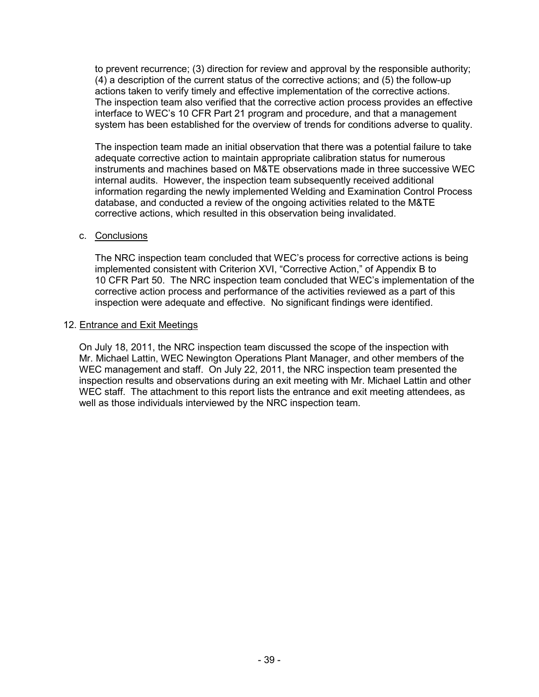to prevent recurrence; (3) direction for review and approval by the responsible authority; (4) a description of the current status of the corrective actions; and (5) the follow-up actions taken to verify timely and effective implementation of the corrective actions. The inspection team also verified that the corrective action process provides an effective interface to WEC's 10 CFR Part 21 program and procedure, and that a management system has been established for the overview of trends for conditions adverse to quality.

The inspection team made an initial observation that there was a potential failure to take adequate corrective action to maintain appropriate calibration status for numerous instruments and machines based on M&TE observations made in three successive WEC internal audits. However, the inspection team subsequently received additional information regarding the newly implemented Welding and Examination Control Process database, and conducted a review of the ongoing activities related to the M&TE corrective actions, which resulted in this observation being invalidated.

## c. Conclusions

The NRC inspection team concluded that WEC's process for corrective actions is being implemented consistent with Criterion XVI, "Corrective Action," of Appendix B to 10 CFR Part 50. The NRC inspection team concluded that WEC's implementation of the corrective action process and performance of the activities reviewed as a part of this inspection were adequate and effective. No significant findings were identified.

#### 12. Entrance and Exit Meetings

On July 18, 2011, the NRC inspection team discussed the scope of the inspection with Mr. Michael Lattin, WEC Newington Operations Plant Manager, and other members of the WEC management and staff. On July 22, 2011, the NRC inspection team presented the inspection results and observations during an exit meeting with Mr. Michael Lattin and other WEC staff. The attachment to this report lists the entrance and exit meeting attendees, as well as those individuals interviewed by the NRC inspection team.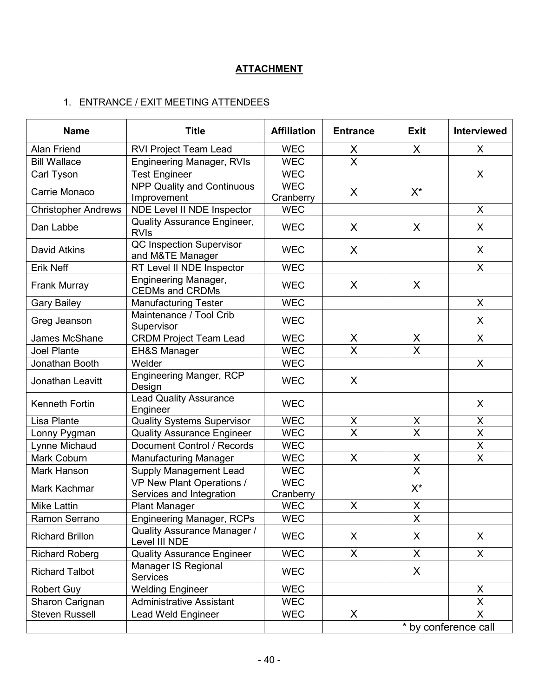# **ATTACHMENT**

# 1. ENTRANCE / EXIT MEETING ATTENDEES

| <b>Name</b>                | <b>Title</b>                                                 | <b>Affiliation</b>      | <b>Entrance</b>         | <b>Exit</b>             | <b>Interviewed</b>      |
|----------------------------|--------------------------------------------------------------|-------------------------|-------------------------|-------------------------|-------------------------|
| <b>Alan Friend</b>         | <b>RVI Project Team Lead</b>                                 | <b>WEC</b>              | X                       | X                       | X                       |
| <b>Bill Wallace</b>        | <b>Engineering Manager, RVIs</b>                             | <b>WEC</b>              | $\overline{\mathsf{x}}$ |                         |                         |
| Carl Tyson                 | <b>Test Engineer</b>                                         | <b>WEC</b>              |                         |                         | X                       |
| Carrie Monaco              | <b>NPP Quality and Continuous</b><br>Improvement             | <b>WEC</b><br>Cranberry | $\sf X$                 | $X^*$                   |                         |
| <b>Christopher Andrews</b> | NDE Level II NDE Inspector                                   | <b>WEC</b>              |                         |                         | X                       |
| Dan Labbe                  | Quality Assurance Engineer,<br><b>RVIs</b>                   | <b>WEC</b>              | X                       | X                       | X                       |
| David Atkins               | <b>QC Inspection Supervisor</b><br>and M&TE Manager          | <b>WEC</b>              | $\sf X$                 |                         | $\sf X$                 |
| <b>Erik Neff</b>           | RT Level II NDE Inspector                                    | <b>WEC</b>              |                         |                         | X                       |
| Frank Murray               | <b>Engineering Manager,</b><br><b>CEDMs and CRDMs</b>        | <b>WEC</b>              | X                       | X                       |                         |
| <b>Gary Bailey</b>         | <b>Manufacturing Tester</b>                                  | <b>WEC</b>              |                         |                         | X                       |
| Greg Jeanson               | Maintenance / Tool Crib<br>Supervisor                        | <b>WEC</b>              |                         |                         | X                       |
| James McShane              | <b>CRDM Project Team Lead</b>                                | <b>WEC</b>              | X                       | $\sf X$                 | X                       |
| <b>Joel Plante</b>         | <b>EH&amp;S Manager</b>                                      | <b>WEC</b>              | $\overline{\mathsf{X}}$ | X                       |                         |
| Jonathan Booth             | Welder                                                       | <b>WEC</b>              |                         |                         | $\mathsf{X}$            |
| Jonathan Leavitt           | Engineering Manger, RCP<br>Design                            | <b>WEC</b>              | X                       |                         |                         |
| Kenneth Fortin             | <b>Lead Quality Assurance</b><br>Engineer                    | <b>WEC</b>              |                         |                         | X                       |
| Lisa Plante                | <b>Quality Systems Supervisor</b>                            | <b>WEC</b>              | X                       | X                       | $\mathsf X$             |
| Lonny Pygman               | <b>Quality Assurance Engineer</b>                            | <b>WEC</b>              | X                       | $\overline{\mathsf{X}}$ | $\pmb{\mathsf{X}}$      |
| Lynne Michaud              | Document Control / Records                                   | <b>WEC</b>              |                         |                         | $\sf X$                 |
| Mark Coburn                | <b>Manufacturing Manager</b>                                 | <b>WEC</b>              | X                       | X                       | X                       |
| Mark Hanson                | <b>Supply Management Lead</b>                                | <b>WEC</b>              |                         | $\overline{\mathsf{x}}$ |                         |
| Mark Kachmar               | <b>VP New Plant Operations /</b><br>Services and Integration | <b>WEC</b><br>Cranberry |                         | $X^*$                   |                         |
| <b>Mike Lattin</b>         | <b>Plant Manager</b>                                         | <b>WEC</b>              | X                       | X                       |                         |
| Ramon Serrano              | Engineering Manager, RCPs                                    | <b>WEC</b>              |                         | X                       |                         |
| <b>Richard Brillon</b>     | <b>Quality Assurance Manager /</b><br>Level III NDE          | <b>WEC</b>              | X                       | X                       | X                       |
| <b>Richard Roberg</b>      | <b>Quality Assurance Engineer</b>                            | <b>WEC</b>              | $\mathsf{X}$            | $\sf X$                 | X                       |
| <b>Richard Talbot</b>      | Manager IS Regional<br><b>Services</b>                       | <b>WEC</b>              |                         | X                       |                         |
| Robert Guy                 | <b>Welding Engineer</b>                                      | <b>WEC</b>              |                         |                         | X                       |
| Sharon Carignan            | <b>Administrative Assistant</b>                              | <b>WEC</b>              |                         |                         | X                       |
| <b>Steven Russell</b>      | <b>Lead Weld Engineer</b>                                    | <b>WEC</b>              | X                       |                         | $\overline{\mathsf{X}}$ |
|                            |                                                              |                         |                         | * by conference call    |                         |